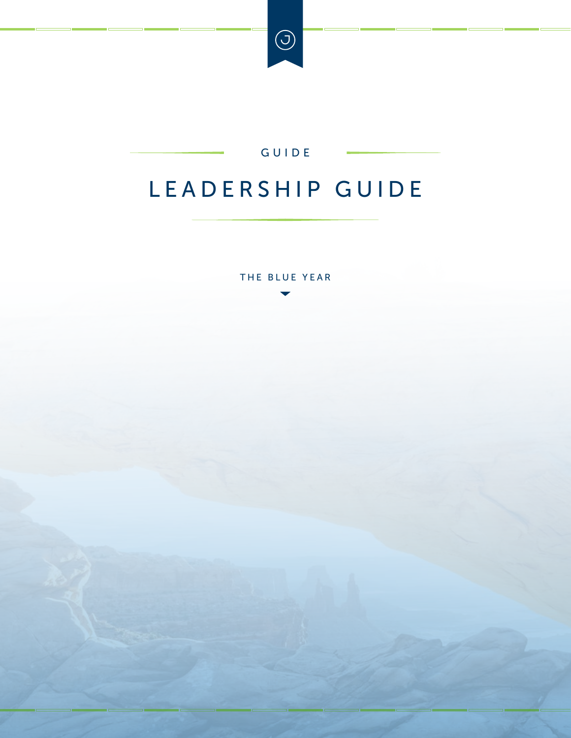

#### GUIDE

# <span id="page-0-0"></span>LEADERSHIP GUIDE

THE BLUE YEAR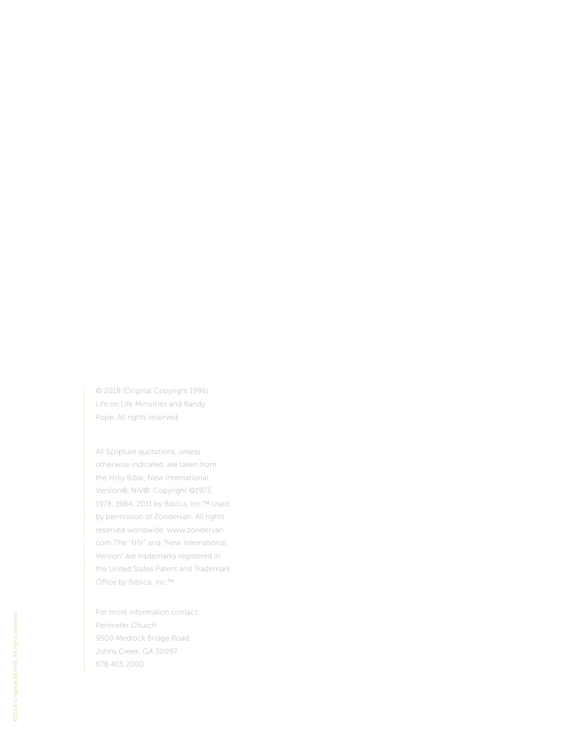© 2018 (Original Copyright 1996) Life on Life Ministries and Randy Pope. All rights reserved.

All Scripture quotations, unless otherwise indicated, are taken from the Holy Bible, New International Version®, NIV®. Copyright ©1973, 1978, 1984, 2011 by Biblica, Inc.™ Used by permission of Zondervan. All rights reserved worldwide. www.zondervan. com The "NIV" and "New International Version" are trademarks registered in the United States Patent and Trademark Office by Biblica, Inc.™

For more information contact: Perimeter Church 9500 Medlock Bridge Road Johns Creek, GA 30097. 678.405.2000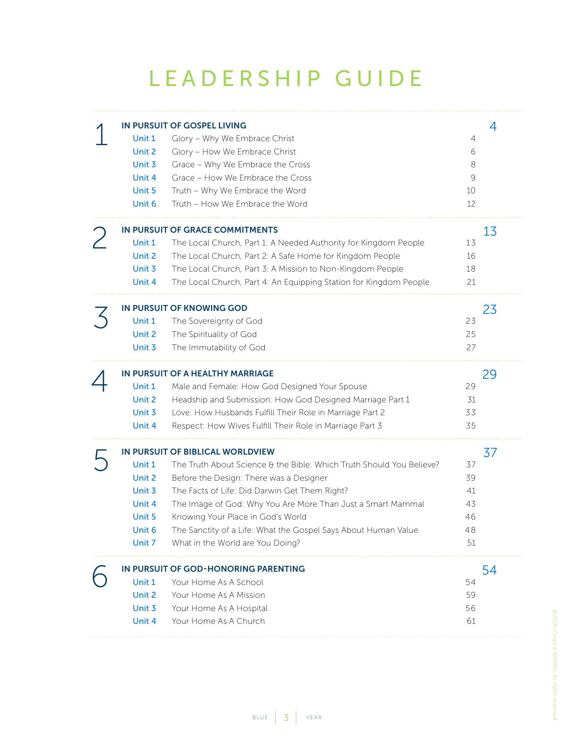# LEADERSHIP GUIDE

<span id="page-2-0"></span>

| Unit 1<br>Unit 2<br>Unit 3<br>Unit 4<br>Unit 5<br>Unit 6           | IN PURSUIT OF GOSPEL LIVING<br>Glory - Why We Embrace Christ<br>Glory - How We Embrace Christ<br>Grace - Why We Embrace the Cross<br>Grace - How We Embrace the Cross<br>Truth - Why We Embrace the Word<br>Truth - How We Embrace the Word                                                                                                                                                                    | 4<br>6<br>8<br>9<br>10<br>12           | 4  |
|--------------------------------------------------------------------|----------------------------------------------------------------------------------------------------------------------------------------------------------------------------------------------------------------------------------------------------------------------------------------------------------------------------------------------------------------------------------------------------------------|----------------------------------------|----|
| Unit 1<br>Unit 2<br>Unit 3<br>Unit 4                               | IN PURSUIT OF GRACE COMMITMENTS<br>The Local Church, Part 1: A Needed Authority for Kingdom People<br>The Local Church, Part 2: A Safe Home for Kingdom People<br>The Local Church, Part 3: A Mission to Non-Kingdom People<br>The Local Church, Part 4: An Equipping Station for Kingdom People                                                                                                               | 13<br>16<br>18<br>21                   | 13 |
| Unit 1<br>Unit 2<br>Unit 3                                         | IN PURSUIT OF KNOWING GOD<br>The Sovereignty of God<br>The Spirituality of God<br>The Immutability of God                                                                                                                                                                                                                                                                                                      | 23<br>25<br>27                         | 23 |
| Unit 1<br>Unit 2<br>Unit 3<br>Unit 4                               | IN PURSUIT OF A HEALTHY MARRIAGE<br>Male and Female: How God Designed Your Spouse<br>Headship and Submission: How God Designed Marriage Part 1<br>Love: How Husbands Fulfill Their Role in Marriage Part 2<br>Respect: How Wives Fulfill Their Role in Marriage Part 3                                                                                                                                         | 29<br>31<br>33<br>35                   | 29 |
| Unit 1<br>Unit 2<br>Unit 3<br>Unit 4<br>Unit 5<br>Unit 6<br>Unit 7 | IN PURSUIT OF BIBLICAL WORLDVIEW<br>The Truth About Science & the Bible: Which Truth Should You Believe?<br>Before the Design: There was a Designer<br>The Facts of Life: Did Darwin Get Them Right?<br>The Image of God: Why You Are More Than Just a Smart Mammal<br>Knowing Your Place in God's World<br>The Sanctity of a Life: What the Gospel Says About Human Value<br>What in the World are You Doing? | 37<br>39<br>41<br>43<br>46<br>48<br>51 | 37 |
| Unit 1<br>Unit 2<br>Unit 3<br>Unit 4                               | IN PURSUIT OF GOD-HONORING PARENTING<br>Your Home As A School<br>Your Home As A Mission<br>Your Home As A Hospital<br>Your Home As A Church                                                                                                                                                                                                                                                                    | 54<br>59<br>56<br>61                   | 54 |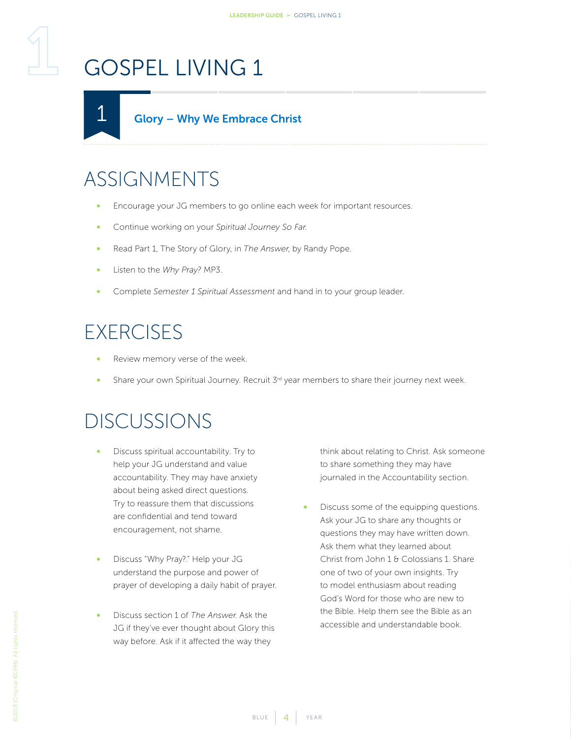<span id="page-3-2"></span><span id="page-3-1"></span><span id="page-3-0"></span>

# ASSIGNMENTS

- Encourage your JG members to go online each week for important resources.
- Continue working on your *Spiritual Journey So Far*.
- Read Part 1, The Story of Glory, in *The Answer*, by Randy Pope.
- Listen to the *Why Pray?* MP3.
- Complete *Semester 1 Spiritual Assessment* and hand in to your group leader.

### **EXERCISES**

- Review memory verse of the week.
- Share your own Spiritual Journey. Recruit 3<sup>rd</sup> year members to share their journey next week.

#### DISCUSSIONS

- Discuss spiritual accountability. Try to help your JG understand and value accountability. They may have anxiety about being asked direct questions. Try to reassure them that discussions are confidential and tend toward encouragement, not shame.
- Discuss "Why Pray?." Help your JG understand the purpose and power of prayer of developing a daily habit of prayer.
- Discuss section 1 of *The Answer*. Ask the JG if they've ever thought about Glory this way before. Ask if it affected the way they

think about relating to Christ. Ask someone to share something they may have journaled in the Accountability section.

• Discuss some of the equipping questions. Ask your JG to share any thoughts or questions they may have written down. Ask them what they learned about Christ from John 1 & Colossians 1. Share one of two of your own insights. Try to model enthusiasm about reading God's Word for those who are new to the Bible. Help them see the Bible as an accessible and understandable book.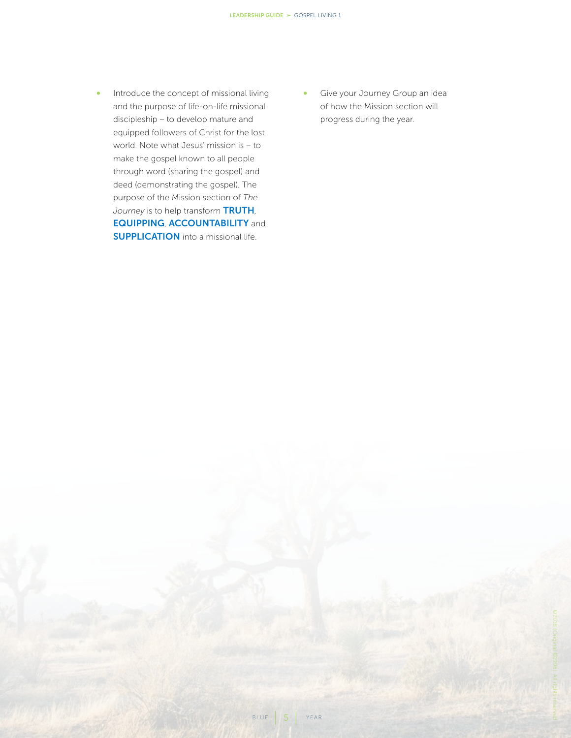- Introduce the concept of missional living and the purpose of life-on-life missional discipleship – to develop mature and equipped followers of Christ for the lost world. Note what Jesus' mission is – to make the gospel known to all people through word (sharing the gospel) and deed (demonstrating the gospel). The purpose of the Mission section of *The Journey* is to help transform TRUTH, EQUIPPING, ACCOUNTABILITY and **SUPPLICATION** into a missional life.
- Give your Journey Group an idea of how the Mission section will progress during the year.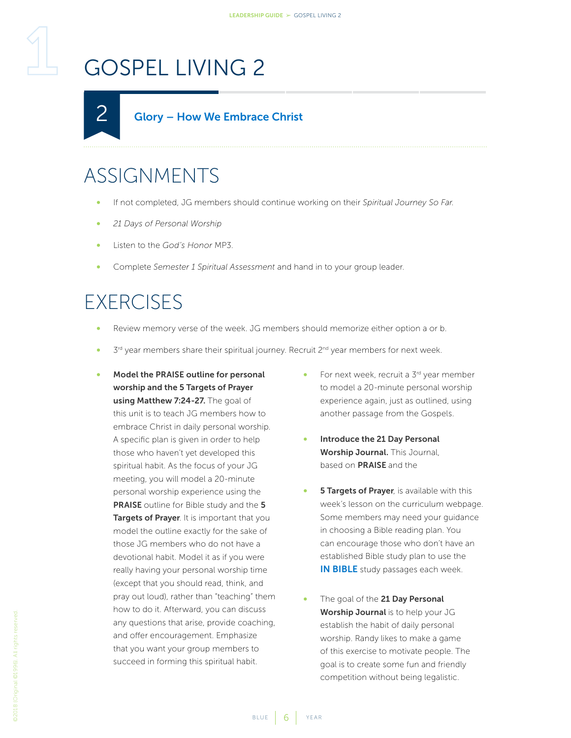<span id="page-5-1"></span><span id="page-5-0"></span>

## ASSIGNMENTS

- If not completed, JG members should continue working on their *Spiritual Journey So Far*.
- *21 Days of Personal Worship*
- Listen to the *God's Honor* MP3.
- Complete *Semester 1 Spiritual Assessment* and hand in to your group leader.

### EXERCISES

- Review memory verse of the week. JG members should memorize either option a or b.
- $3<sup>rd</sup>$  year members share their spiritual journey. Recruit  $2<sup>nd</sup>$  year members for next week.
- Model the PRAISE outline for personal worship and the 5 Targets of Prayer using Matthew 7:24-27. The goal of this unit is to teach JG members how to embrace Christ in daily personal worship. A specific plan is given in order to help those who haven't yet developed this spiritual habit. As the focus of your JG meeting, you will model a 20-minute personal worship experience using the PRAISE outline for Bible study and the 5 Targets of Prayer. It is important that you model the outline exactly for the sake of those JG members who do not have a devotional habit. Model it as if you were really having your personal worship time (except that you should read, think, and pray out loud), rather than "teaching" them how to do it. Afterward, you can discuss any questions that arise, provide coaching, and offer encouragement. Emphasize that you want your group members to succeed in forming this spiritual habit.
- For next week, recruit a 3rd year member to model a 20-minute personal worship experience again, just as outlined, using another passage from the Gospels.
- Introduce the 21 Day Personal Worship Journal. This Journal, based on PRAISE and the
- **5 Targets of Prayer**, is available with this week's lesson on the curriculum webpage. Some members may need your guidance in choosing a Bible reading plan. You can encourage those who don't have an established Bible study plan to use the **IN BIBLE** study passages each week.
- The goal of the 21 Day Personal Worship Journal is to help your JG establish the habit of daily personal worship. Randy likes to make a game of this exercise to motivate people. The goal is to create some fun and friendly competition without being legalistic.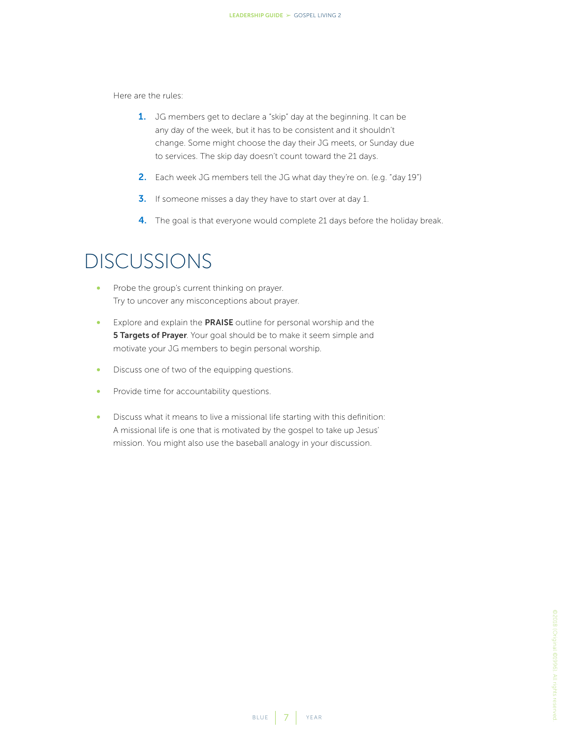Here are the rules:

- 1. JG members get to declare a "skip" day at the beginning. It can be any day of the week, but it has to be consistent and it shouldn't change. Some might choose the day their JG meets, or Sunday due to services. The skip day doesn't count toward the 21 days.
- 2. Each week JG members tell the JG what day they're on. (e.g. "day 19")
- **3.** If someone misses a day they have to start over at day 1.
- 4. The goal is that everyone would complete 21 days before the holiday break.

- Probe the group's current thinking on prayer. Try to uncover any misconceptions about prayer.
- Explore and explain the PRAISE outline for personal worship and the **5 Targets of Prayer**. Your goal should be to make it seem simple and motivate your JG members to begin personal worship.
- Discuss one of two of the equipping questions.
- Provide time for accountability questions.
- Discuss what it means to live a missional life starting with this definition: A missional life is one that is motivated by the gospel to take up Jesus' mission. You might also use the baseball analogy in your discussion.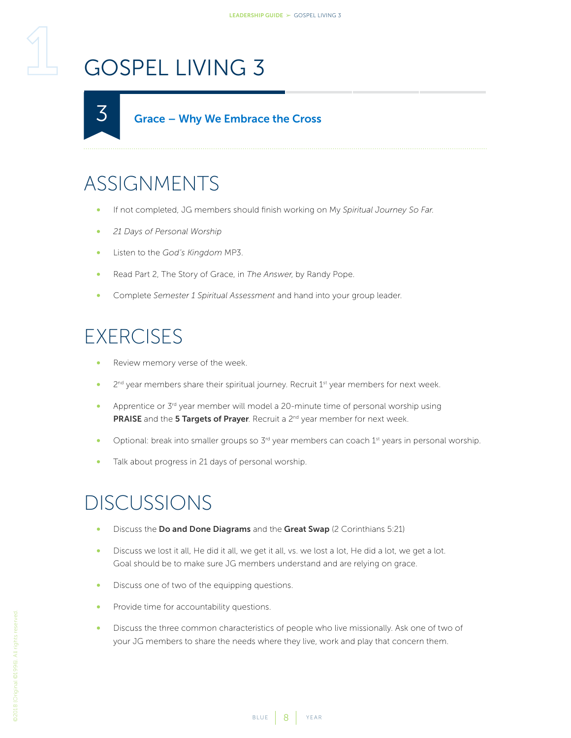<span id="page-7-1"></span><span id="page-7-0"></span>

### ASSIGNMENTS

- If not completed, JG members should finish working on My *Spiritual Journey So Far*.
- *21 Days of Personal Worship*
- Listen to the *God's Kingdom* MP3.
- Read Part 2, The Story of Grace, in *The Answer*, by Randy Pope.
- Complete *Semester 1 Spiritual Assessment* and hand into your group leader.

### **EXERCISES**

- Review memory verse of the week.
- 2<sup>nd</sup> year members share their spiritual journey. Recruit 1<sup>st</sup> year members for next week.
- Apprentice or  $3<sup>rd</sup>$  year member will model a 20-minute time of personal worship using PRAISE and the 5 Targets of Prayer. Recruit a 2<sup>nd</sup> year member for next week.
- Optional: break into smaller groups so 3<sup>rd</sup> year members can coach 1<sup>st</sup> years in personal worship.
- Talk about progress in 21 days of personal worship.

- Discuss the Do and Done Diagrams and the Great Swap (2 Corinthians 5:21)
- Discuss we lost it all, He did it all, we get it all, vs. we lost a lot, He did a lot, we get a lot. Goal should be to make sure JG members understand and are relying on grace.
- Discuss one of two of the equipping questions.
- Provide time for accountability questions.
- Discuss the three common characteristics of people who live missionally. Ask one of two of your JG members to share the needs where they live, work and play that concern them.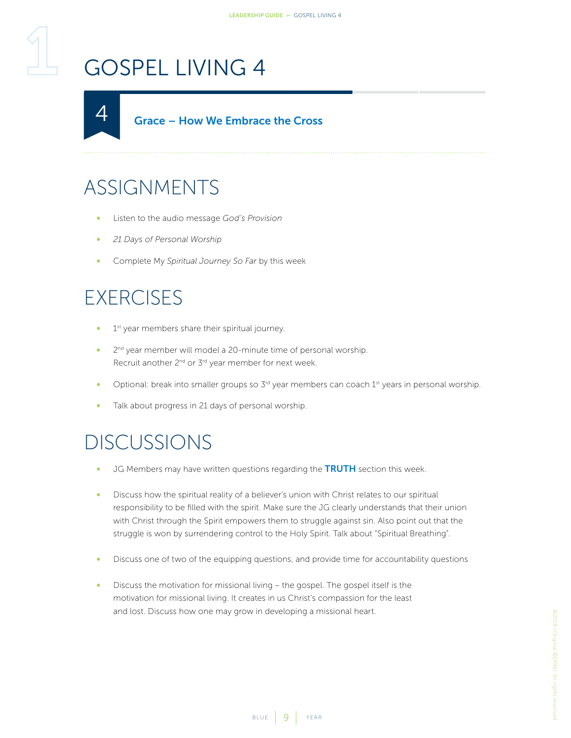<span id="page-8-1"></span><span id="page-8-0"></span>

### ASSIGNMENTS

- Listen to the audio message *God's Provision*
- *21 Days of Personal Worship*
- Complete My *Spiritual Journey So Far* by this week

#### **EXERCISES**

- 1<sup>st</sup> year members share their spiritual journey.
- 2<sup>nd</sup> year member will model a 20-minute time of personal worship. Recruit another 2<sup>nd</sup> or 3<sup>rd</sup> year member for next week.
- Optional: break into smaller groups so 3<sup>rd</sup> year members can coach 1<sup>st</sup> years in personal worship.
- Talk about progress in 21 days of personal worship.

- JG Members may have written questions regarding the TRUTH section this week.
- Discuss how the spiritual reality of a believer's union with Christ relates to our spiritual responsibility to be filled with the spirit. Make sure the JG clearly understands that their union with Christ through the Spirit empowers them to struggle against sin. Also point out that the struggle is won by surrendering control to the Holy Spirit. Talk about "Spiritual Breathing".
- Discuss one of two of the equipping questions, and provide time for accountability questions
- Discuss the motivation for missional living the gospel. The gospel itself is the motivation for missional living. It creates in us Christ's compassion for the least and lost. Discuss how one may grow in developing a missional heart.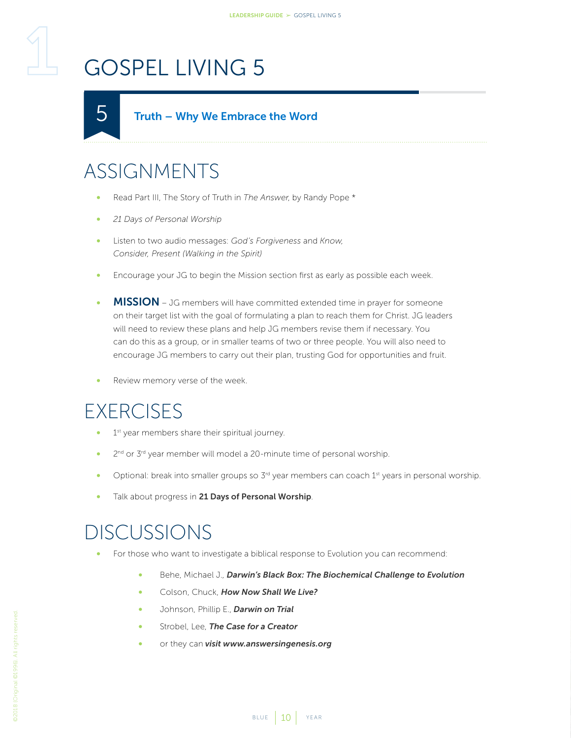#### Truth – Why We Embrace the Word

## ASSIGNMENTS

<span id="page-9-1"></span><span id="page-9-0"></span>5

- Read Part III, The Story of Truth in *The Answer*, by Randy Pope \*
- *21 Days of Personal Worship*
- Listen to two audio messages: *God's Forgiveness* and *Know, Consider, Present (Walking in the Spirit)*
- Encourage your JG to begin the Mission section first as early as possible each week.
- MISSION JG members will have committed extended time in prayer for someone on their target list with the goal of formulating a plan to reach them for Christ. JG leaders will need to review these plans and help JG members revise them if necessary. You can do this as a group, or in smaller teams of two or three people. You will also need to encourage JG members to carry out their plan, trusting God for opportunities and fruit.
- Review memory verse of the week.

#### **EXERCISES**

- 1<sup>st</sup> year members share their spiritual journey.
- 2<sup>nd</sup> or 3<sup>rd</sup> year member will model a 20-minute time of personal worship.
- Optional: break into smaller groups so 3<sup>rd</sup> year members can coach 1<sup>st</sup> years in personal worship.
- Talk about progress in 21 Days of Personal Worship.

- For those who want to investigate a biblical response to Evolution you can recommend:
	- Behe, Michael J., *Darwin's Black Box: The Biochemical Challenge to Evolution*
	- Colson, Chuck, *How Now Shall We Live?*
	- Johnson, Phillip E., *Darwin on Trial*
	- Strobel, Lee, *The Case for a Creator*
	- or they can *visit www.answersingenesis.org*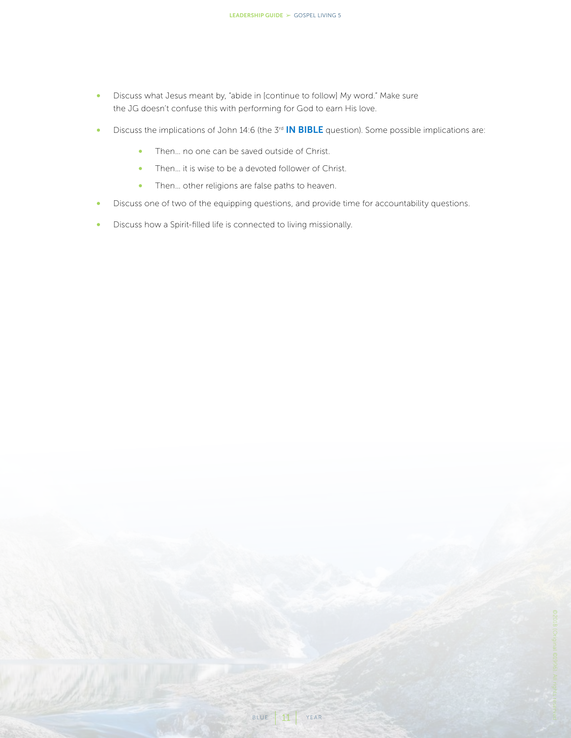- Discuss what Jesus meant by, "abide in [continue to follow] My word." Make sure the JG doesn't confuse this with performing for God to earn His love.
- Discuss the implications of John 14:6 (the 3<sup>rd</sup> **IN BIBLE** question). Some possible implications are:
	- Then... no one can be saved outside of Christ.
	- Then… it is wise to be a devoted follower of Christ.
	- Then… other religions are false paths to heaven.
- Discuss one of two of the equipping questions, and provide time for accountability questions.
- Discuss how a Spirit-filled life is connected to living missionally.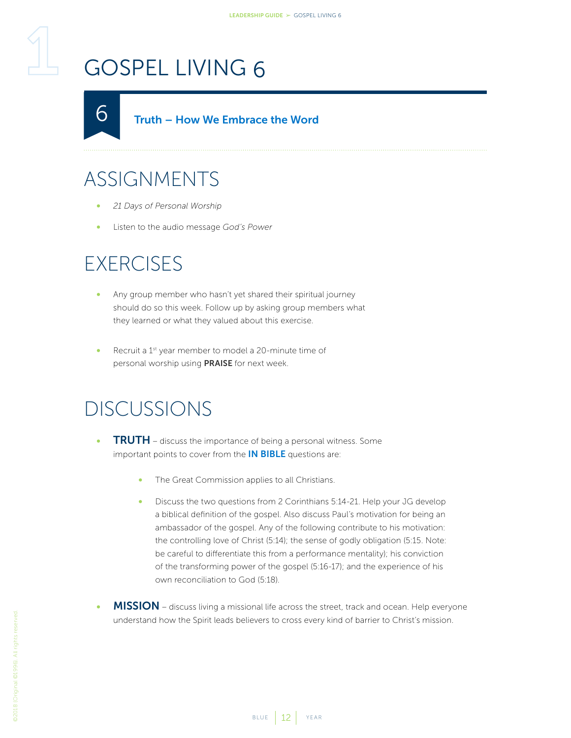<span id="page-11-1"></span><span id="page-11-0"></span>Truth – How We Embrace the Word  $\bigcirc$ 

## ASSIGNMENTS

- *21 Days of Personal Worship*
- Listen to the audio message *God's Power*

#### **EXERCISES**

- Any group member who hasn't yet shared their spiritual journey should do so this week. Follow up by asking group members what they learned or what they valued about this exercise.
- Recruit a 1<sup>st</sup> year member to model a 20-minute time of personal worship using PRAISE for next week.

- **TRUTH** discuss the importance of being a personal witness. Some important points to cover from the **IN BIBLE** questions are:
	- The Great Commission applies to all Christians.
	- Discuss the two questions from 2 Corinthians 5:14-21. Help your JG develop a biblical definition of the gospel. Also discuss Paul's motivation for being an ambassador of the gospel. Any of the following contribute to his motivation: the controlling love of Christ (5:14); the sense of godly obligation (5:15. Note: be careful to differentiate this from a performance mentality); his conviction of the transforming power of the gospel (5:16-17); and the experience of his own reconciliation to God (5:18).
- MISSION discuss living a missional life across the street, track and ocean. Help everyone understand how the Spirit leads believers to cross every kind of barrier to Christ's mission.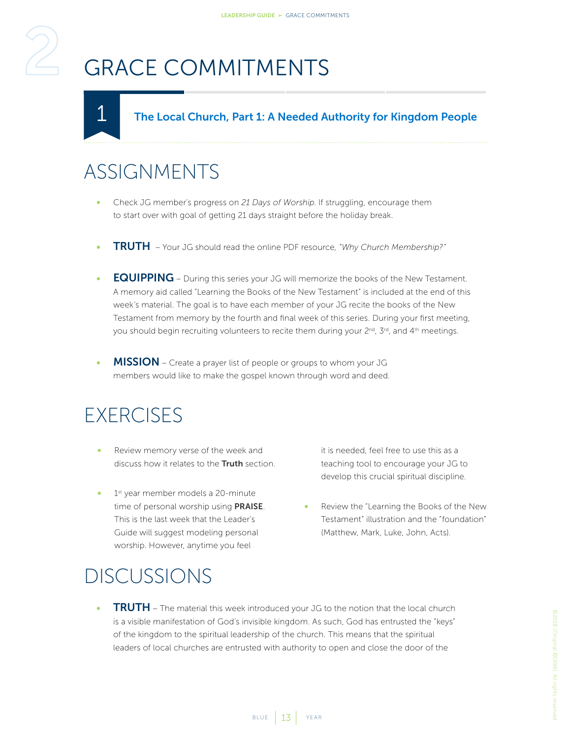<span id="page-12-0"></span>

# <span id="page-12-2"></span>GRACE COMMITMENTS

#### The Local Church, Part 1: A Needed Authority for Kingdom People

#### ASSIGNMENTS

<span id="page-12-1"></span>1

- Check JG member's progress on *21 Days of Worship*. If struggling, encourage them to start over with goal of getting 21 days straight before the holiday break.
- TRUTH Your JG should read the online PDF resource, *"Why Church Membership?"*
- **EQUIPPING** During this series your JG will memorize the books of the New Testament. A memory aid called "Learning the Books of the New Testament" is included at the end of this week's material. The goal is to have each member of your JG recite the books of the New Testament from memory by the fourth and final week of this series. During your first meeting, you should begin recruiting volunteers to recite them during your 2<sup>nd</sup>, 3<sup>rd</sup>, and 4<sup>th</sup> meetings.
- MISSION Create a prayer list of people or groups to whom your JG members would like to make the gospel known through word and deed.

#### **EXERCISES**

- Review memory verse of the week and discuss how it relates to the **Truth** section.
- 1<sup>st</sup> year member models a 20-minute time of personal worship using **PRAISE**. This is the last week that the Leader's Guide will suggest modeling personal worship. However, anytime you feel

it is needed, feel free to use this as a teaching tool to encourage your JG to develop this crucial spiritual discipline.

• Review the "Learning the Books of the New Testament" illustration and the "foundation" (Matthew, Mark, Luke, John, Acts).

#### DISCUSSIONS

**TRUTH** – The material this week introduced your JG to the notion that the local church is a visible manifestation of God's invisible kingdom. As such, God has entrusted the "keys" of the kingdom to the spiritual leadership of the church. This means that the spiritual leaders of local churches are entrusted with authority to open and close the door of the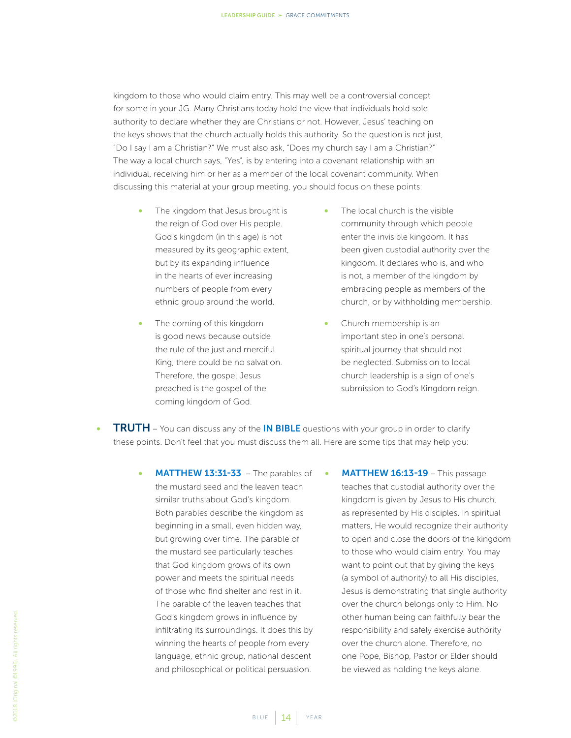kingdom to those who would claim entry. This may well be a controversial concept for some in your JG. Many Christians today hold the view that individuals hold sole authority to declare whether they are Christians or not. However, Jesus' teaching on the keys shows that the church actually holds this authority. So the question is not just, "Do I say I am a Christian?" We must also ask, "Does my church say I am a Christian?" The way a local church says, "Yes", is by entering into a covenant relationship with an individual, receiving him or her as a member of the local covenant community. When discussing this material at your group meeting, you should focus on these points:

- The kingdom that Jesus brought is the reign of God over His people. God's kingdom (in this age) is not measured by its geographic extent, but by its expanding influence in the hearts of ever increasing numbers of people from every ethnic group around the world.
- The coming of this kingdom is good news because outside the rule of the just and merciful King, there could be no salvation. Therefore, the gospel Jesus preached is the gospel of the coming kingdom of God.
- The local church is the visible community through which people enter the invisible kingdom. It has been given custodial authority over the kingdom. It declares who is, and who is not, a member of the kingdom by embracing people as members of the church, or by withholding membership.
- Church membership is an important step in one's personal spiritual journey that should not be neglected. Submission to local church leadership is a sign of one's submission to God's Kingdom reign.
- **TRUTH** You can discuss any of the IN BIBLE questions with your group in order to clarify these points. Don't feel that you must discuss them all. Here are some tips that may help you:
	- **MATTHEW 13:31-33** The parables of the mustard seed and the leaven teach similar truths about God's kingdom. Both parables describe the kingdom as beginning in a small, even hidden way, but growing over time. The parable of the mustard see particularly teaches that God kingdom grows of its own power and meets the spiritual needs of those who find shelter and rest in it. The parable of the leaven teaches that God's kingdom grows in influence by infiltrating its surroundings. It does this by winning the hearts of people from every language, ethnic group, national descent and philosophical or political persuasion.
- MATTHEW 16:13-19 This passage teaches that custodial authority over the kingdom is given by Jesus to His church, as represented by His disciples. In spiritual matters, He would recognize their authority to open and close the doors of the kingdom to those who would claim entry. You may want to point out that by giving the keys (a symbol of authority) to all His disciples, Jesus is demonstrating that single authority over the church belongs only to Him. No other human being can faithfully bear the responsibility and safely exercise authority over the church alone. Therefore, no one Pope, Bishop, Pastor or Elder should be viewed as holding the keys alone.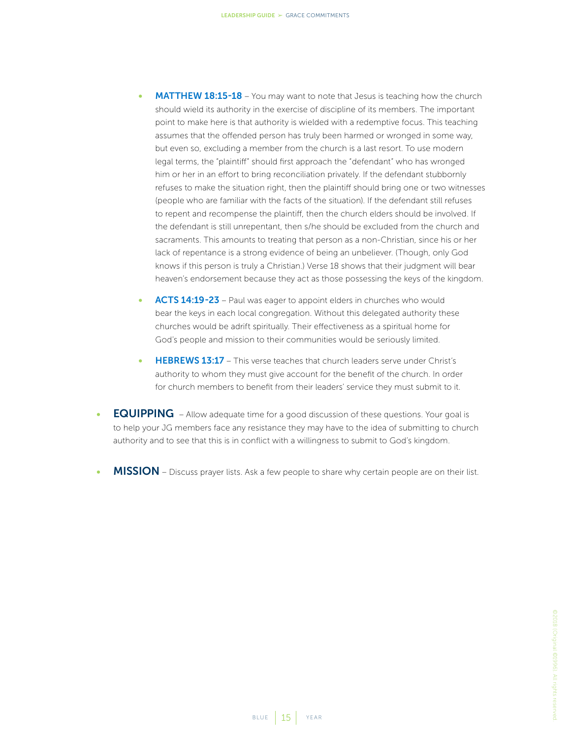- **MATTHEW 18:15-18** You may want to note that Jesus is teaching how the church should wield its authority in the exercise of discipline of its members. The important point to make here is that authority is wielded with a redemptive focus. This teaching assumes that the offended person has truly been harmed or wronged in some way, but even so, excluding a member from the church is a last resort. To use modern legal terms, the "plaintiff" should first approach the "defendant" who has wronged him or her in an effort to bring reconciliation privately. If the defendant stubbornly refuses to make the situation right, then the plaintiff should bring one or two witnesses (people who are familiar with the facts of the situation). If the defendant still refuses to repent and recompense the plaintiff, then the church elders should be involved. If the defendant is still unrepentant, then s/he should be excluded from the church and sacraments. This amounts to treating that person as a non-Christian, since his or her lack of repentance is a strong evidence of being an unbeliever. (Though, only God knows if this person is truly a Christian.) Verse 18 shows that their judgment will bear heaven's endorsement because they act as those possessing the keys of the kingdom.
- ACTS 14:19-23 Paul was eager to appoint elders in churches who would bear the keys in each local congregation. Without this delegated authority these churches would be adrift spiritually. Their effectiveness as a spiritual home for God's people and mission to their communities would be seriously limited.
- **HEBREWS 13:17** This verse teaches that church leaders serve under Christ's authority to whom they must give account for the benefit of the church. In order for church members to benefit from their leaders' service they must submit to it.
- EQUIPPING Allow adequate time for a good discussion of these questions. Your goal is to help your JG members face any resistance they may have to the idea of submitting to church authority and to see that this is in conflict with a willingness to submit to God's kingdom.
- MISSION Discuss prayer lists. Ask a few people to share why certain people are on their list.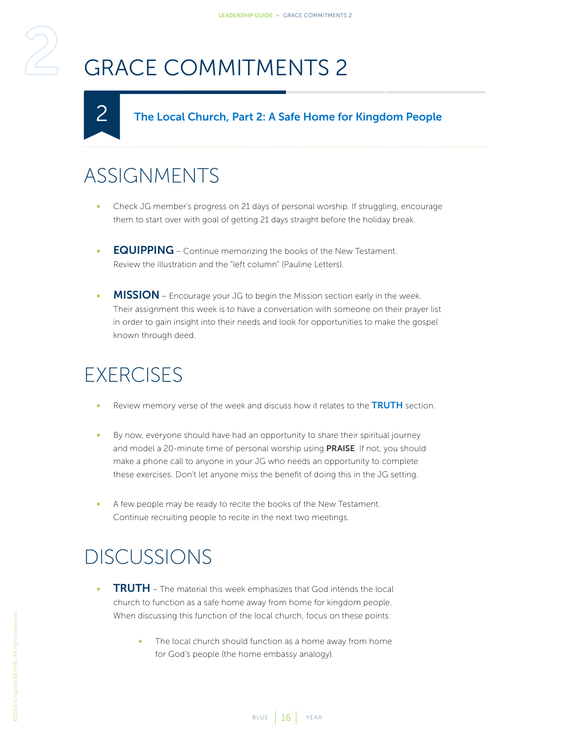# <span id="page-15-1"></span>GRACE COMMITMENTS 2

#### The Local Church, Part 2: A Safe Home for Kingdom People

#### ASSIGNMENTS

<span id="page-15-0"></span>2

- Check JG member's progress on 21 days of personal worship. If struggling, encourage them to start over with goal of getting 21 days straight before the holiday break.
- **EQUIPPING** Continue memorizing the books of the New Testament. Review the illustration and the "left column" (Pauline Letters).
- MISSION Encourage your JG to begin the Mission section early in the week. Their assignment this week is to have a conversation with someone on their prayer list in order to gain insight into their needs and look for opportunities to make the gospel known through deed.

#### **EXERCISES**

- Review memory verse of the week and discuss how it relates to the TRUTH section.
- By now, everyone should have had an opportunity to share their spiritual journey and model a 20-minute time of personal worship using PRAISE. If not, you should make a phone call to anyone in your JG who needs an opportunity to complete these exercises. Don't let anyone miss the benefit of doing this in the JG setting.
- A few people may be ready to recite the books of the New Testament. Continue recruiting people to recite in the next two meetings.

- **TRUTH** The material this week emphasizes that God intends the local church to function as a safe home away from home for kingdom people. When discussing this function of the local church, focus on these points:
	- The local church should function as a home away from home for God's people (the home embassy analogy).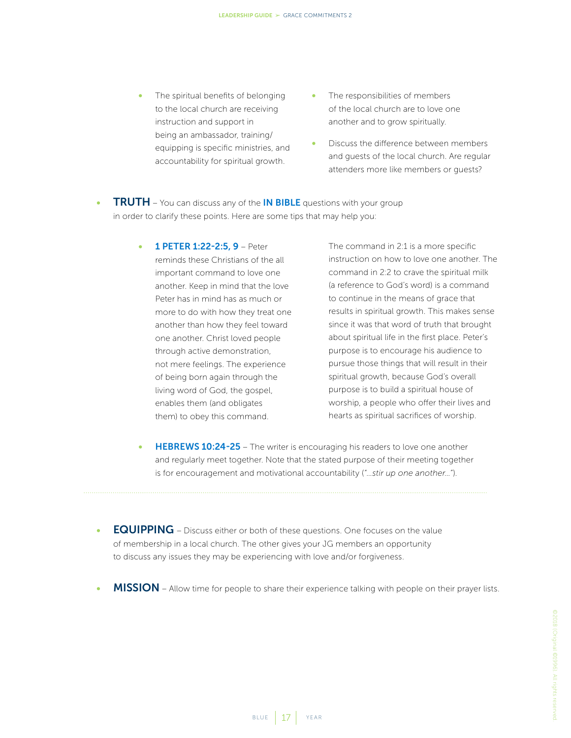- The spiritual benefits of belonging to the local church are receiving instruction and support in being an ambassador, training/ equipping is specific ministries, and accountability for spiritual growth.
- The responsibilities of members of the local church are to love one another and to grow spiritually.
- Discuss the difference between members and guests of the local church. Are regular attenders more like members or guests?
- **TRUTH** You can discuss any of the IN BIBLE questions with your group in order to clarify these points. Here are some tips that may help you:
	- 1 PETER 1:22-2:5, 9 Peter reminds these Christians of the all important command to love one another. Keep in mind that the love Peter has in mind has as much or more to do with how they treat one another than how they feel toward one another. Christ loved people through active demonstration, not mere feelings. The experience of being born again through the living word of God, the gospel, enables them (and obligates them) to obey this command.
- The command in 2:1 is a more specific instruction on how to love one another. The command in 2:2 to crave the spiritual milk (a reference to God's word) is a command to continue in the means of grace that results in spiritual growth. This makes sense since it was that word of truth that brought about spiritual life in the first place. Peter's purpose is to encourage his audience to pursue those things that will result in their spiritual growth, because God's overall purpose is to build a spiritual house of worship, a people who offer their lives and hearts as spiritual sacrifices of worship.
- **HEBREWS 10:24-25** The writer is encouraging his readers to love one another and regularly meet together. Note that the stated purpose of their meeting together is for encouragement and motivational accountability (*"…stir up one another…"*).
- EQUIPPING Discuss either or both of these questions. One focuses on the value of membership in a local church. The other gives your JG members an opportunity to discuss any issues they may be experiencing with love and/or forgiveness.
- MISSION Allow time for people to share their experience talking with people on their prayer lists.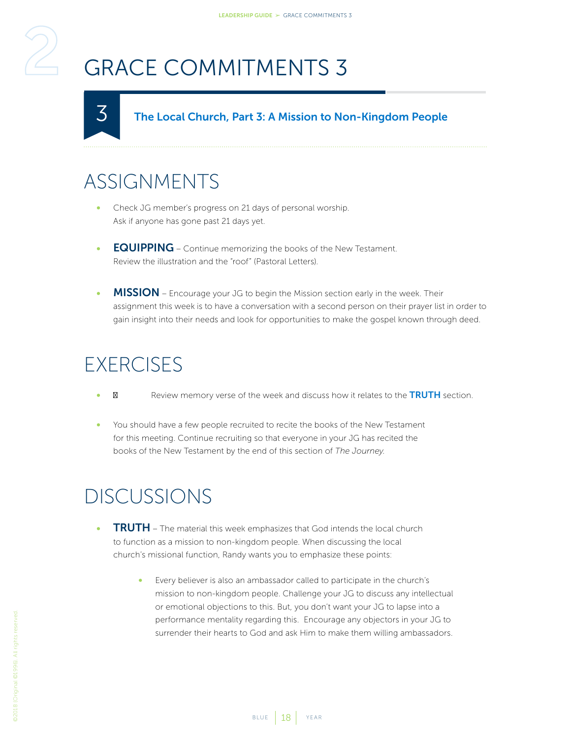# <span id="page-17-1"></span>GRACE COMMITMENTS 3

#### The Local Church, Part 3: A Mission to Non-Kingdom People

#### ASSIGNMENTS

<span id="page-17-0"></span>3

- Check JG member's progress on 21 days of personal worship. Ask if anyone has gone past 21 days yet.
- **EQUIPPING** Continue memorizing the books of the New Testament. Review the illustration and the "roof" (Pastoral Letters).
- **MISSION** Encourage your JG to begin the Mission section early in the week. Their assignment this week is to have a conversation with a second person on their prayer list in order to gain insight into their needs and look for opportunities to make the gospel known through deed.

### **EXERCISES**

- Review memory verse of the week and discuss how it relates to the TRUTH section.
- You should have a few people recruited to recite the books of the New Testament for this meeting. Continue recruiting so that everyone in your JG has recited the books of the New Testament by the end of this section of *The Journey*.

- **TRUTH** The material this week emphasizes that God intends the local church to function as a mission to non-kingdom people. When discussing the local church's missional function, Randy wants you to emphasize these points:
	- Every believer is also an ambassador called to participate in the church's mission to non-kingdom people. Challenge your JG to discuss any intellectual or emotional objections to this. But, you don't want your JG to lapse into a performance mentality regarding this. Encourage any objectors in your JG to surrender their hearts to God and ask Him to make them willing ambassadors.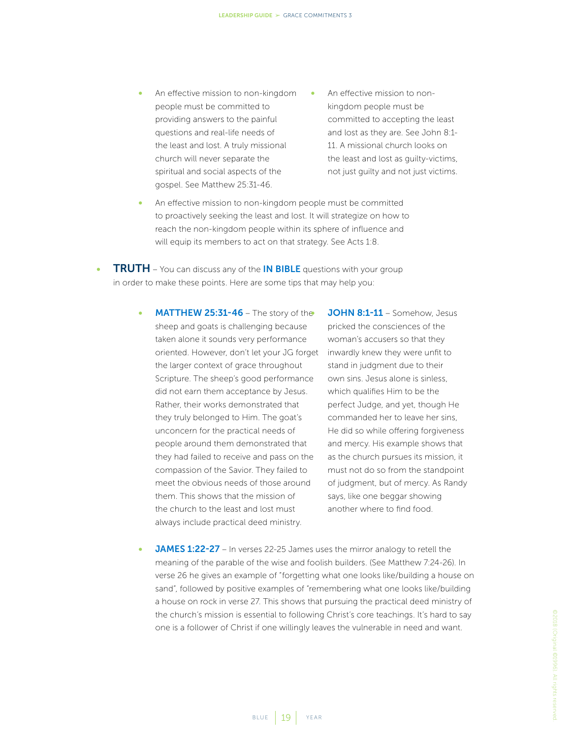- An effective mission to non-kingdom people must be committed to providing answers to the painful questions and real-life needs of the least and lost. A truly missional church will never separate the spiritual and social aspects of the gospel. See Matthew 25:31-46.
- An effective mission to nonkingdom people must be committed to accepting the least and lost as they are. See John 8:1- 11. A missional church looks on the least and lost as guilty-victims, not just guilty and not just victims.
- An effective mission to non-kingdom people must be committed to proactively seeking the least and lost. It will strategize on how to reach the non-kingdom people within its sphere of influence and will equip its members to act on that strategy. See Acts 1:8.

**TRUTH** – You can discuss any of the **IN BIBLE** questions with your group in order to make these points. Here are some tips that may help you:

> MATTHEW 25:31-46 - The story of the sheep and goats is challenging because taken alone it sounds very performance oriented. However, don't let your JG forget the larger context of grace throughout Scripture. The sheep's good performance did not earn them acceptance by Jesus. Rather, their works demonstrated that they truly belonged to Him. The goat's unconcern for the practical needs of people around them demonstrated that they had failed to receive and pass on the compassion of the Savior. They failed to meet the obvious needs of those around them. This shows that the mission of the church to the least and lost must always include practical deed ministry.

JOHN 8:1-11 - Somehow, Jesus pricked the consciences of the woman's accusers so that they inwardly knew they were unfit to stand in judgment due to their own sins. Jesus alone is sinless, which qualifies Him to be the perfect Judge, and yet, though He commanded her to leave her sins, He did so while offering forgiveness and mercy. His example shows that as the church pursues its mission, it must not do so from the standpoint of judgment, but of mercy. As Randy says, like one beggar showing another where to find food.

**JAMES 1:22-27** – In verses 22-25 James uses the mirror analogy to retell the meaning of the parable of the wise and foolish builders. (See Matthew 7:24-26). In verse 26 he gives an example of "forgetting what one looks like/building a house on sand", followed by positive examples of "remembering what one looks like/building a house on rock in verse 27. This shows that pursuing the practical deed ministry of the church's mission is essential to following Christ's core teachings. It's hard to say one is a follower of Christ if one willingly leaves the vulnerable in need and want.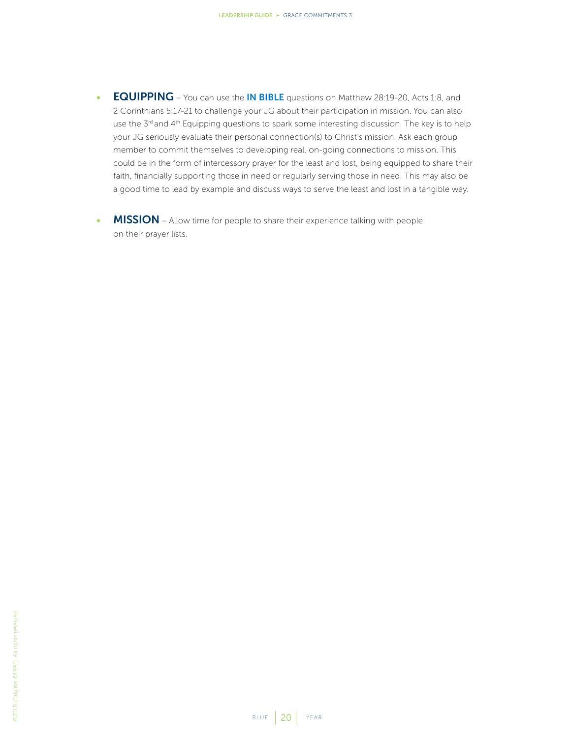- EQUIPPING You can use the IN BIBLE questions on Matthew 28:19-20, Acts 1:8, and 2 Corinthians 5:17-21 to challenge your JG about their participation in mission. You can also use the 3<sup>rd</sup> and 4<sup>th</sup> Equipping questions to spark some interesting discussion. The key is to help your JG seriously evaluate their personal connection(s) to Christ's mission. Ask each group member to commit themselves to developing real, on-going connections to mission. This could be in the form of intercessory prayer for the least and lost, being equipped to share their faith, financially supporting those in need or regularly serving those in need. This may also be a good time to lead by example and discuss ways to serve the least and lost in a tangible way.
- MISSION Allow time for people to share their experience talking with people on their prayer lists.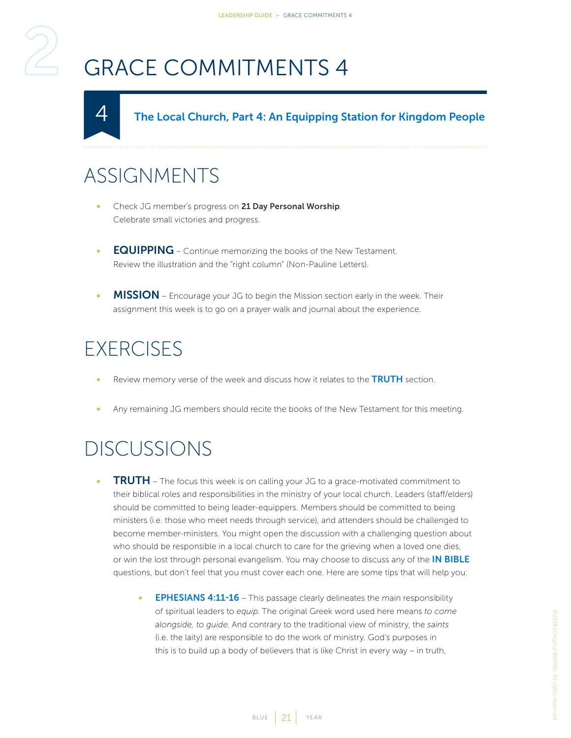# <span id="page-20-1"></span>GRACE COMMITMENTS 4

The Local Church, Part 4: An Equipping Station for Kingdom People

#### ASSIGNMENTS

<span id="page-20-0"></span>4

- Check JG member's progress on 21 Day Personal Worship. Celebrate small victories and progress.
- **EQUIPPING** Continue memorizing the books of the New Testament. Review the illustration and the "right column" (Non-Pauline Letters).
- **MISSION** Encourage your JG to begin the Mission section early in the week. Their assignment this week is to go on a prayer walk and journal about the experience.

#### **EXERCISES**

- Review memory verse of the week and discuss how it relates to the TRUTH section.
- Any remaining JG members should recite the books of the New Testament for this meeting.

- **TRUTH** The focus this week is on calling your JG to a grace-motivated commitment to their biblical roles and responsibilities in the ministry of your local church. Leaders (staff/elders) should be committed to being leader-equippers. Members should be committed to being ministers (i.e. those who meet needs through service), and attenders should be challenged to become member-ministers. You might open the discussion with a challenging question about who should be responsible in a local church to care for the grieving when a loved one dies, or win the lost through personal evangelism. You may choose to discuss any of the **IN BIBLE** questions, but don't feel that you must cover each one. Here are some tips that will help you:
	- EPHESIANS 4:11-16 This passage clearly delineates the main responsibility of spiritual leaders to *equip*. The original Greek word used here means *to come alongside, to guide*. And contrary to the traditional view of ministry, the *saints* (i.e. the laity) are responsible to do the work of ministry. God's purposes in this is to build up a body of believers that is like Christ in every way – in truth,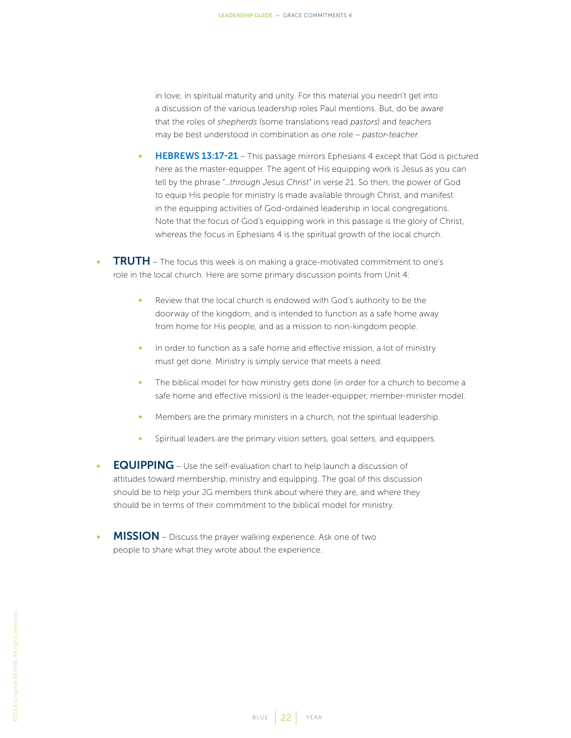in love, in spiritual maturity and unity. For this material you needn't get into a discussion of the various leadership roles Paul mentions. But, do be aware that the roles of *shepherds* (some translations read *pastors*) and *teachers* may be best understood in combination as one role – *pastor-teacher*.

- **HEBREWS 13:17-21** This passage mirrors Ephesians 4 except that God is pictured here as the master-equipper. The agent of His equipping work is Jesus as you can tell by the phrase "…*through Jesus Christ*" in verse 21. So then, the power of God to equip His people for ministry is made available through Christ, and manifest in the equipping activities of God-ordained leadership in local congregations. Note that the focus of God's equipping work in this passage is the glory of Christ, whereas the focus in Ephesians 4 is the spiritual growth of the local church.
- **TRUTH** The focus this week is on making a grace-motivated commitment to one's role in the local church. Here are some primary discussion points from Unit 4:
	- Review that the local church is endowed with God's authority to be the doorway of the kingdom, and is intended to function as a safe home away from home for His people, and as a mission to non-kingdom people.
	- In order to function as a safe home and effective mission, a lot of ministry must get done. Ministry is simply service that meets a need.
	- The biblical model for how ministry gets done (in order for a church to become a safe home and effective mission) is the leader-equipper, member-minister model.
	- Members are the primary ministers in a church, not the spiritual leadership.
	- Spiritual leaders are the primary vision setters, goal setters, and equippers.
- EQUIPPING Use the self-evaluation chart to help launch a discussion of attitudes toward membership, ministry and equipping. The goal of this discussion should be to help your JG members think about where they are, and where they should be in terms of their commitment to the biblical model for ministry.
- MISSION Discuss the prayer walking experience. Ask one of two people to share what they wrote about the experience.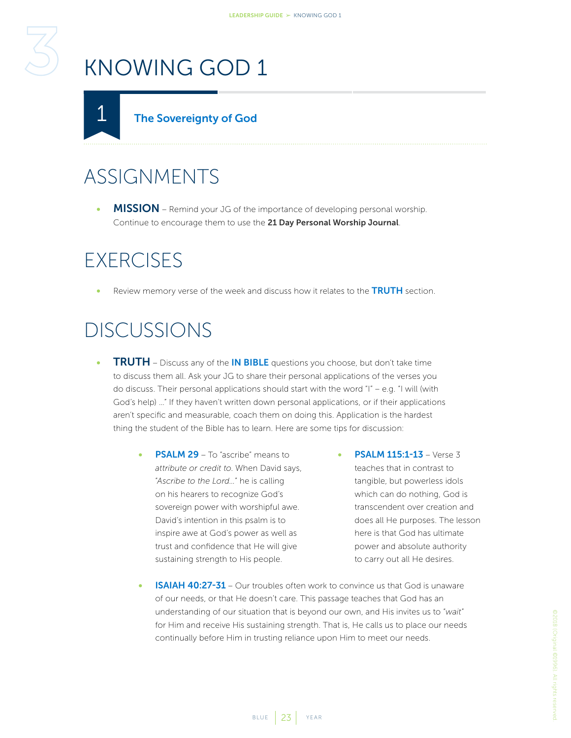# <span id="page-22-2"></span><span id="page-22-0"></span>KNOWING GOD 1

<span id="page-22-1"></span>

### ASSIGNMENTS

MISSION – Remind your JG of the importance of developing personal worship. Continue to encourage them to use the 21 Day Personal Worship Journal.

#### **EXERCISES**

Review memory verse of the week and discuss how it relates to the **TRUTH** section.

- **TRUTH** Discuss any of the **IN BIBLE** questions you choose, but don't take time to discuss them all. Ask your JG to share their personal applications of the verses you do discuss. Their personal applications should start with the word "I" – e.g. "I will (with God's help) …" If they haven't written down personal applications, or if their applications aren't specific and measurable, coach them on doing this. Application is the hardest thing the student of the Bible has to learn. Here are some tips for discussion:
	- **PSALM 29** To "ascribe" means to *attribute or credit to*. When David says, "*Ascribe to the Lord…*" he is calling on his hearers to recognize God's sovereign power with worshipful awe. David's intention in this psalm is to inspire awe at God's power as well as trust and confidence that He will give sustaining strength to His people.
- **PSALM 115:1-13 Verse 3** teaches that in contrast to tangible, but powerless idols which can do nothing, God is transcendent over creation and does all He purposes. The lesson here is that God has ultimate power and absolute authority to carry out all He desires.
- **ISAIAH 40:27-31** Our troubles often work to convince us that God is unaware of our needs, or that He doesn't care. This passage teaches that God has an understanding of our situation that is beyond our own, and His invites us to "*wait*" for Him and receive His sustaining strength. That is, He calls us to place our needs continually before Him in trusting reliance upon Him to meet our needs.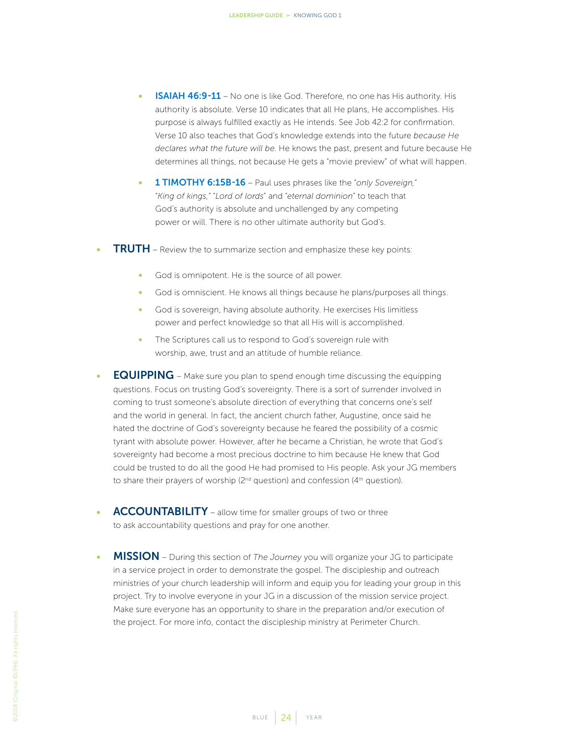- **ISAIAH 46:9-11** No one is like God. Therefore, no one has His authority. His authority is absolute. Verse 10 indicates that all He plans, He accomplishes. His purpose is always fulfilled exactly as He intends. See Job 42:2 for confirmation. Verse 10 also teaches that God's knowledge extends into the future *because He declares what the future will be*. He knows the past, present and future because He determines all things, not because He gets a "movie preview" of what will happen.
- 1 TIMOTHY 6:15B-16 Paul uses phrases like the "*only Sovereign,*" "*King of kings,"* "*Lord of lords*" and "*eternal dominion*" to teach that God's authority is absolute and unchallenged by any competing power or will. There is no other ultimate authority but God's.
- TRUTH Review the to summarize section and emphasize these key points:
	- God is omnipotent. He is the source of all power.
	- God is omniscient. He knows all things because he plans/purposes all things.
	- God is sovereign, having absolute authority. He exercises His limitless power and perfect knowledge so that all His will is accomplished.
	- The Scriptures call us to respond to God's sovereign rule with worship, awe, trust and an attitude of humble reliance.
- EQUIPPING Make sure you plan to spend enough time discussing the equipping questions. Focus on trusting God's sovereignty. There is a sort of surrender involved in coming to trust someone's absolute direction of everything that concerns one's self and the world in general. In fact, the ancient church father, Augustine, once said he hated the doctrine of God's sovereignty because he feared the possibility of a cosmic tyrant with absolute power. However, after he became a Christian, he wrote that God's sovereignty had become a most precious doctrine to him because He knew that God could be trusted to do all the good He had promised to His people. Ask your JG members to share their prayers of worship ( $2<sup>nd</sup>$  question) and confession ( $4<sup>th</sup>$  question).
- ACCOUNTABILITY allow time for smaller groups of two or three to ask accountability questions and pray for one another.
- MISSION During this section of *The Journey* you will organize your JG to participate in a service project in order to demonstrate the gospel. The discipleship and outreach ministries of your church leadership will inform and equip you for leading your group in this project. Try to involve everyone in your JG in a discussion of the mission service project. Make sure everyone has an opportunity to share in the preparation and/or execution of the project. For more info, contact the discipleship ministry at Perimeter Church.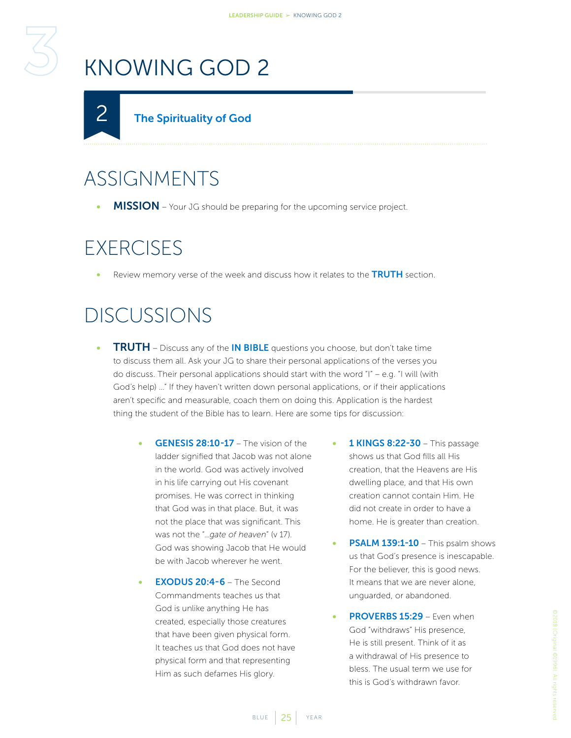# <span id="page-24-1"></span>KNOWING GOD 2

<span id="page-24-0"></span>

## ASSIGNMENTS

**MISSION** – Your JG should be preparing for the upcoming service project.

#### **EXERCISES**

Review memory verse of the week and discuss how it relates to the TRUTH section.

- **TRUTH** Discuss any of the **IN BIBLE** questions you choose, but don't take time to discuss them all. Ask your JG to share their personal applications of the verses you do discuss. Their personal applications should start with the word "I" – e.g. "I will (with God's help) …" If they haven't written down personal applications, or if their applications aren't specific and measurable, coach them on doing this. Application is the hardest thing the student of the Bible has to learn. Here are some tips for discussion:
	- GENESIS 28:10-17 The vision of the ladder signified that Jacob was not alone in the world. God was actively involved in his life carrying out His covenant promises. He was correct in thinking that God was in that place. But, it was not the place that was significant. This was not the "…*gate of heaven*" (v 17). God was showing Jacob that He would be with Jacob wherever he went.
	- **FXODUS 20:4-6 The Second** Commandments teaches us that God is unlike anything He has created, especially those creatures that have been given physical form. It teaches us that God does not have physical form and that representing Him as such defames His glory.
- 1 KINGS 8:22-30 This passage shows us that God fills all His creation, that the Heavens are His dwelling place, and that His own creation cannot contain Him. He did not create in order to have a home. He is greater than creation.
- PSALM 139:1-10 This psalm shows us that God's presence is inescapable. For the believer, this is good news. It means that we are never alone, unguarded, or abandoned.
- PROVERBS 15:29 Even when God "withdraws" His presence, He is still present. Think of it as a withdrawal of His presence to bless. The usual term we use for this is God's withdrawn favor.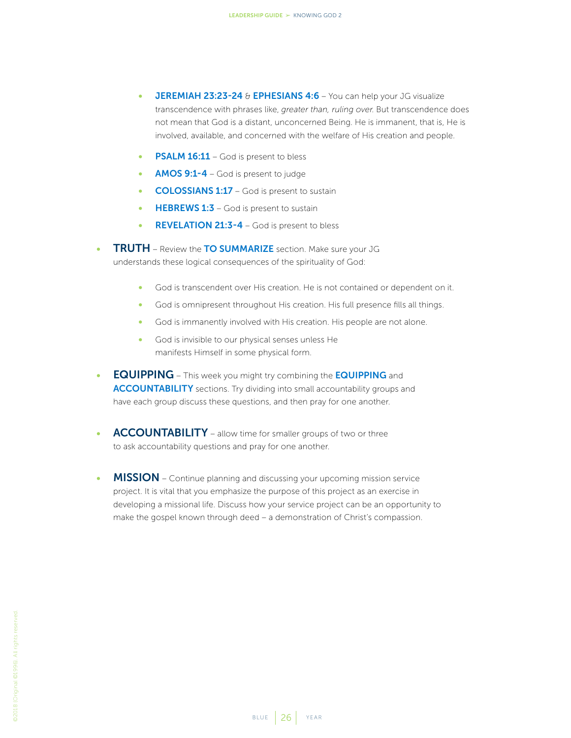- **JEREMIAH 23:23-24 & EPHESIANS 4:6** You can help your JG visualize transcendence with phrases like, *greater than, ruling over*. But transcendence does not mean that God is a distant, unconcerned Being. He is immanent, that is, He is involved, available, and concerned with the welfare of His creation and people.
- **PSALM 16:11** God is present to bless
- AMOS 9:1-4 God is present to judge
- COLOSSIANS 1:17 God is present to sustain
- **HEBREWS 1:3** God is present to sustain
- REVELATION 21:3-4 God is present to bless
- **TRUTH** Review the TO SUMMARIZE section. Make sure your JG understands these logical consequences of the spirituality of God:
	- God is transcendent over His creation. He is not contained or dependent on it.
	- God is omnipresent throughout His creation. His full presence fills all things.
	- God is immanently involved with His creation. His people are not alone.
	- God is invisible to our physical senses unless He manifests Himself in some physical form.
- EQUIPPING This week you might try combining the EQUIPPING and ACCOUNTABILITY sections. Try dividing into small accountability groups and have each group discuss these questions, and then pray for one another.
- ACCOUNTABILITY allow time for smaller groups of two or three to ask accountability questions and pray for one another.
- MISSION Continue planning and discussing your upcoming mission service project. It is vital that you emphasize the purpose of this project as an exercise in developing a missional life. Discuss how your service project can be an opportunity to make the gospel known through deed – a demonstration of Christ's compassion.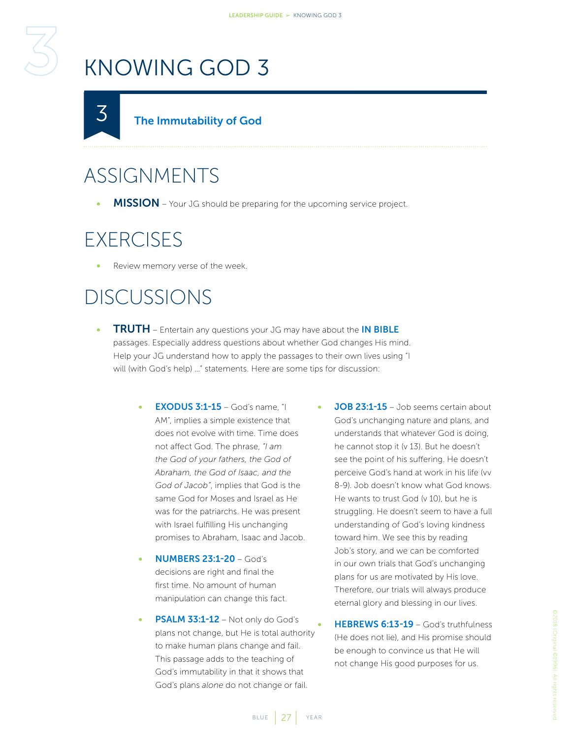# <span id="page-26-1"></span>KNOWING GOD 3

<span id="page-26-0"></span>

#### The Immutability of God

### ASSIGNMENTS

MISSION – Your JG should be preparing for the upcoming service project.

#### **EXERCISES**

Review memory verse of the week.

- **TRUTH** Entertain any questions your JG may have about the **IN BIBLE** passages. Especially address questions about whether God changes His mind. Help your JG understand how to apply the passages to their own lives using "I will (with God's help) …" statements. Here are some tips for discussion:
	- **EXODUS 3:1-15** God's name, "I AM", implies a simple existence that does not evolve with time. Time does not affect God. The phrase, *"I am the God of your fathers, the God of Abraham, the God of Isaac, and the God of Jacob"*, implies that God is the same God for Moses and Israel as He was for the patriarchs. He was present with Israel fulfilling His unchanging promises to Abraham, Isaac and Jacob.
	- NUMBERS 23:1-20 God's decisions are right and final the first time. No amount of human manipulation can change this fact.
	- PSALM 33:1-12 Not only do God's plans not change, but He is total authority to make human plans change and fail. This passage adds to the teaching of God's immutability in that it shows that God's plans *alone* do not change or fail.
- **JOB 23:1-15** Job seems certain about God's unchanging nature and plans, and understands that whatever God is doing, he cannot stop it (v 13). But he doesn't see the point of his suffering. He doesn't perceive God's hand at work in his life (vv 8-9). Job doesn't know what God knows. He wants to trust God (v 10), but he is struggling. He doesn't seem to have a full understanding of God's loving kindness toward him. We see this by reading Job's story, and we can be comforted in our own trials that God's unchanging plans for us are motivated by His love. Therefore, our trials will always produce eternal glory and blessing in our lives.
- HEBREWS 6:13-19 God's truthfulness (He does not lie), and His promise should be enough to convince us that He will not change His good purposes for us.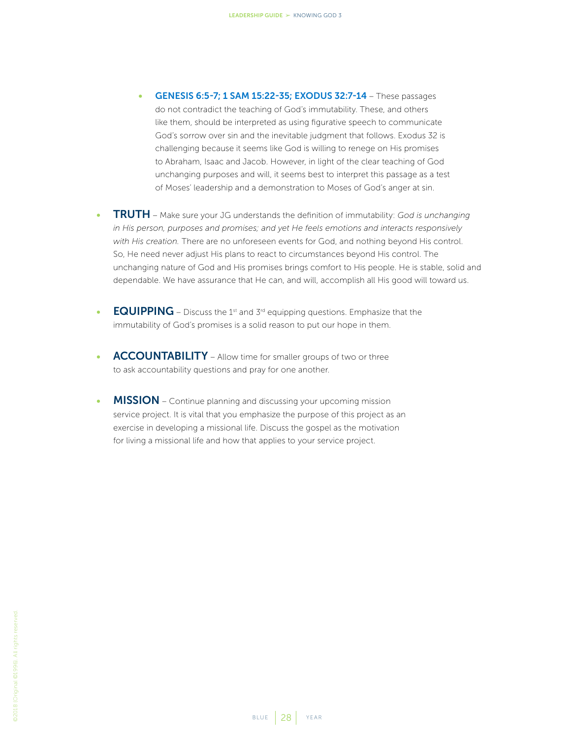- **GENESIS 6:5-7; 1 SAM 15:22-35; EXODUS 32:7-14 These passages** do not contradict the teaching of God's immutability. These, and others like them, should be interpreted as using figurative speech to communicate God's sorrow over sin and the inevitable judgment that follows. Exodus 32 is challenging because it seems like God is willing to renege on His promises to Abraham, Isaac and Jacob. However, in light of the clear teaching of God unchanging purposes and will, it seems best to interpret this passage as a test of Moses' leadership and a demonstration to Moses of God's anger at sin.
- TRUTH Make sure your JG understands the definition of immutability: *God is unchanging in His person, purposes and promises; and yet He feels emotions and interacts responsively with His creation.* There are no unforeseen events for God, and nothing beyond His control. So, He need never adjust His plans to react to circumstances beyond His control. The unchanging nature of God and His promises brings comfort to His people. He is stable, solid and dependable. We have assurance that He can, and will, accomplish all His good will toward us.
- **EQUIPPING** Discuss the 1<sup>st</sup> and  $3^{rd}$  equipping questions. Emphasize that the immutability of God's promises is a solid reason to put our hope in them.
- ACCOUNTABILITY Allow time for smaller groups of two or three to ask accountability questions and pray for one another.
- **MISSION** Continue planning and discussing your upcoming mission service project. It is vital that you emphasize the purpose of this project as an exercise in developing a missional life. Discuss the gospel as the motivation for living a missional life and how that applies to your service project.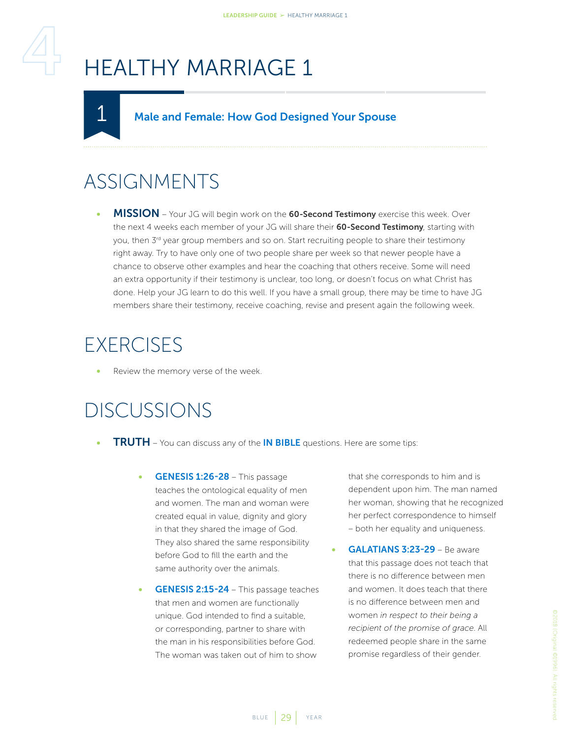# <span id="page-28-2"></span><span id="page-28-0"></span>HEALTHY MARRIAGE 1

#### Male and Female: How God Designed Your Spouse

### ASSIGNMENTS

<span id="page-28-1"></span>1

MISSION - Your JG will begin work on the 60-Second Testimony exercise this week. Over the next 4 weeks each member of your JG will share their 60-Second Testimony, starting with you, then 3<sup>rd</sup> year group members and so on. Start recruiting people to share their testimony right away. Try to have only one of two people share per week so that newer people have a chance to observe other examples and hear the coaching that others receive. Some will need an extra opportunity if their testimony is unclear, too long, or doesn't focus on what Christ has done. Help your JG learn to do this well. If you have a small group, there may be time to have JG members share their testimony, receive coaching, revise and present again the following week.

#### **EXERCISES**

Review the memory verse of the week.

#### DISCUSSIONS

- **TRUTH** You can discuss any of the **IN BIBLE** questions. Here are some tips:
	- GENESIS 1:26-28 This passage teaches the ontological equality of men and women. The man and woman were created equal in value, dignity and glory in that they shared the image of God. They also shared the same responsibility before God to fill the earth and the same authority over the animals.
	- GENESIS 2:15-24 This passage teaches that men and women are functionally unique. God intended to find a suitable, or corresponding, partner to share with the man in his responsibilities before God. The woman was taken out of him to show

that she corresponds to him and is dependent upon him. The man named her woman, showing that he recognized her perfect correspondence to himself – both her equality and uniqueness.

GALATIANS 3:23-29 - Be aware that this passage does not teach that there is no difference between men and women. It does teach that there is no difference between men and women *in respect to their being a recipient of the promise of grace*. All redeemed people share in the same promise regardless of their gender.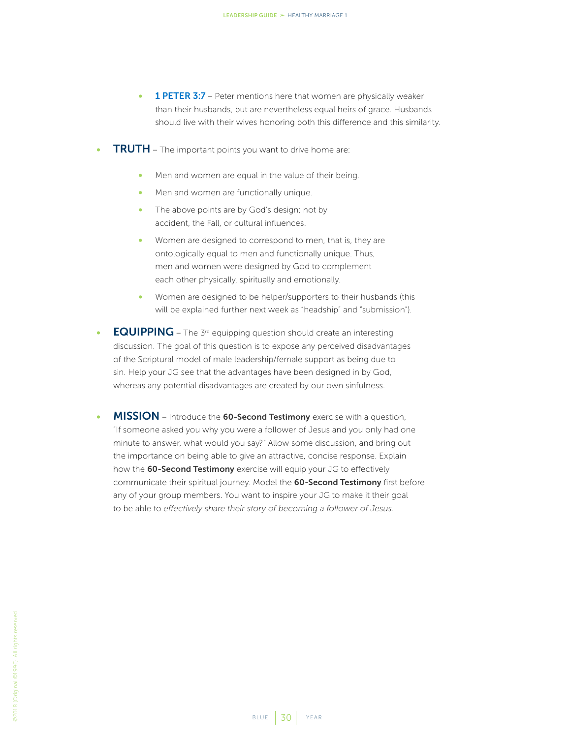- **1 PETER 3:7** Peter mentions here that women are physically weaker than their husbands, but are nevertheless equal heirs of grace. Husbands should live with their wives honoring both this difference and this similarity.
- **TRUTH** The important points you want to drive home are:
	- Men and women are equal in the value of their being.
	- Men and women are functionally unique.
	- The above points are by God's design; not by accident, the Fall, or cultural influences.
	- Women are designed to correspond to men, that is, they are ontologically equal to men and functionally unique. Thus, men and women were designed by God to complement each other physically, spiritually and emotionally.
	- Women are designed to be helper/supporters to their husbands (this will be explained further next week as "headship" and "submission").
- **EQUIPPING** The 3<sup>rd</sup> equipping question should create an interesting discussion. The goal of this question is to expose any perceived disadvantages of the Scriptural model of male leadership/female support as being due to sin. Help your JG see that the advantages have been designed in by God, whereas any potential disadvantages are created by our own sinfulness.
- MISSION Introduce the 60-Second Testimony exercise with a question, "If someone asked you why you were a follower of Jesus and you only had one minute to answer, what would you say?" Allow some discussion, and bring out the importance on being able to give an attractive, concise response. Explain how the 60-Second Testimony exercise will equip your JG to effectively communicate their spiritual journey. Model the 60-Second Testimony first before any of your group members. You want to inspire your JG to make it their goal to be able to *effectively share their story of becoming a follower of Jesus*.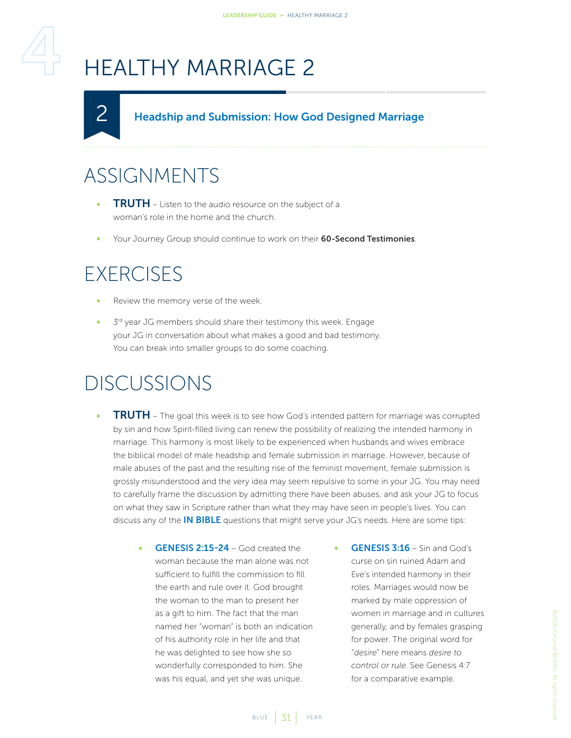# <span id="page-30-1"></span>HEALTHY MARRIAGE 2

#### Headship and Submission: How God Designed Marriage

### ASSIGNMENTS

<span id="page-30-0"></span>2

- **TRUTH** Listen to the audio resource on the subject of a woman's role in the home and the church.
- Your Journey Group should continue to work on their 60-Second Testimonies.

#### **EXERCISES**

- Review the memory verse of the week.
- 3<sup>rd</sup> year JG members should share their testimony this week. Engage your JG in conversation about what makes a good and bad testimony. You can break into smaller groups to do some coaching.

- **TRUTH** The goal this week is to see how God's intended pattern for marriage was corrupted by sin and how Spirit-filled living can renew the possibility of realizing the intended harmony in marriage. This harmony is most likely to be experienced when husbands and wives embrace the biblical model of male headship and female submission in marriage. However, because of male abuses of the past and the resulting rise of the feminist movement, female submission is grossly misunderstood and the very idea may seem repulsive to some in your JG. You may need to carefully frame the discussion by admitting there have been abuses, and ask your JG to focus on what they saw in Scripture rather than what they may have seen in people's lives. You can discuss any of the **IN BIBLE** questions that might serve your JG's needs. Here are some tips:
	- GENESIS 2:15-24 God created the woman because the man alone was not sufficient to fulfill the commission to fill the earth and rule over it. God brought the woman to the man to present her as a gift to him. The fact that the man named her "woman" is both an indication of his authority role in her life and that he was delighted to see how she so wonderfully corresponded to him. She was his equal, and yet she was unique.
- GENESIS 3:16 Sin and God's curse on sin ruined Adam and Eve's intended harmony in their roles. Marriages would now be marked by male oppression of women in marriage and in cultures generally, and by females grasping for power. The original word for "*desire*" here means *desire to control or rule*. See Genesis 4:7 for a comparative example.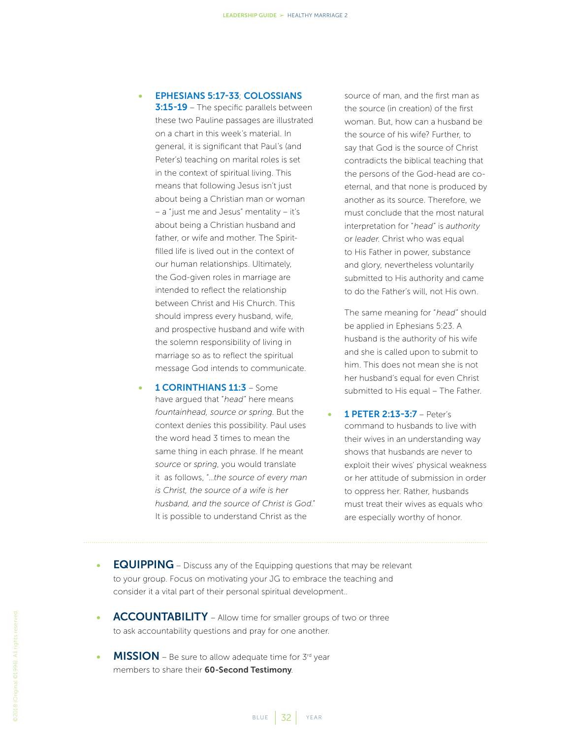#### • EPHESIANS 5:17-33; COLOSSIANS

3:15-19 - The specific parallels between these two Pauline passages are illustrated on a chart in this week's material. In general, it is significant that Paul's (and Peter's) teaching on marital roles is set in the context of spiritual living. This means that following Jesus isn't just about being a Christian man or woman – a "just me and Jesus" mentality – it's about being a Christian husband and father, or wife and mother. The Spiritfilled life is lived out in the context of our human relationships. Ultimately, the God-given roles in marriage are intended to reflect the relationship between Christ and His Church. This should impress every husband, wife, and prospective husband and wife with the solemn responsibility of living in marriage so as to reflect the spiritual message God intends to communicate.

1 **CORINTHIANS 11:3** - Some have argued that "*head*" here means *fountainhead, source or spring*. But the context denies this possibility. Paul uses the word head 3 times to mean the same thing in each phrase. If he meant *source* or *spring*, you would translate it as follows, "…*the source of every man is Christ, the source of a wife is her husband, and the source of Christ is God*." It is possible to understand Christ as the

source of man, and the first man as the source (in creation) of the first woman. But, how can a husband be the source of his wife? Further, to say that God is the source of Christ contradicts the biblical teaching that the persons of the God-head are coeternal, and that none is produced by another as its source. Therefore, we must conclude that the most natural interpretation for "*head*" is *authority* or *leader*. Christ who was equal to His Father in power, substance and glory, nevertheless voluntarily submitted to His authority and came to do the Father's will, not His own.

The same meaning for "*head*" should be applied in Ephesians 5:23. A husband is the authority of his wife and she is called upon to submit to him. This does not mean she is not her husband's equal for even Christ submitted to His equal – The Father.

- 1 PETER 2:13-3:7 Peter's command to husbands to live with their wives in an understanding way shows that husbands are never to exploit their wives' physical weakness or her attitude of submission in order to oppress her. Rather, husbands must treat their wives as equals who are especially worthy of honor.
- **EQUIPPING** Discuss any of the Equipping questions that may be relevant to your group. Focus on motivating your JG to embrace the teaching and consider it a vital part of their personal spiritual development..
- **ACCOUNTABILITY** Allow time for smaller groups of two or three to ask accountability questions and pray for one another.
- **MISSION** Be sure to allow adequate time for  $3^{rd}$  year members to share their 60-Second Testimony.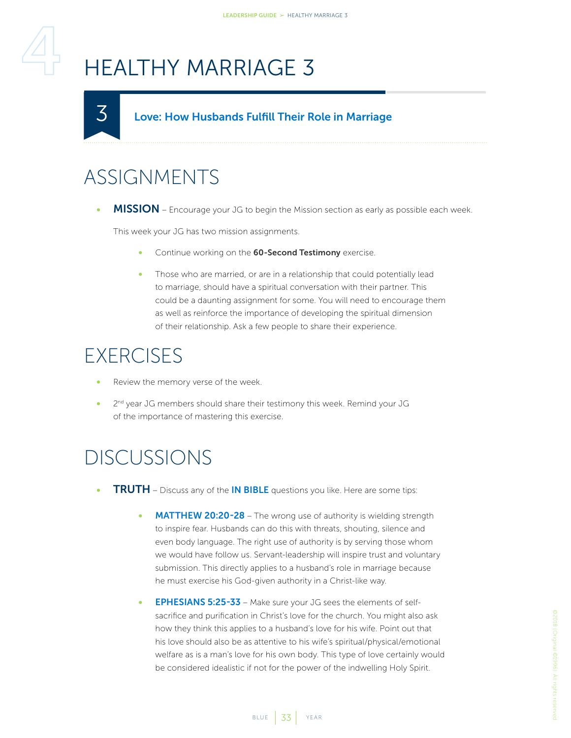# <span id="page-32-1"></span>HEALTHY MARRIAGE 3

#### Love: How Husbands Fulfill Their Role in Marriage

### ASSIGNMENTS

<span id="page-32-0"></span>3

MISSION – Encourage your JG to begin the Mission section as early as possible each week.

This week your JG has two mission assignments.

- Continue working on the 60-Second Testimony exercise.
- Those who are married, or are in a relationship that could potentially lead to marriage, should have a spiritual conversation with their partner. This could be a daunting assignment for some. You will need to encourage them as well as reinforce the importance of developing the spiritual dimension of their relationship. Ask a few people to share their experience.

#### **EXERCISES**

- Review the memory verse of the week.
- 2<sup>nd</sup> year JG members should share their testimony this week. Remind your JG of the importance of mastering this exercise.

- **TRUTH** Discuss any of the **IN BIBLE** questions you like. Here are some tips:
	- **MATTHEW 20:20-28** The wrong use of authority is wielding strength to inspire fear. Husbands can do this with threats, shouting, silence and even body language. The right use of authority is by serving those whom we would have follow us. Servant-leadership will inspire trust and voluntary submission. This directly applies to a husband's role in marriage because he must exercise his God-given authority in a Christ-like way.
	- **EPHESIANS 5:25-33** Make sure your JG sees the elements of selfsacrifice and purification in Christ's love for the church. You might also ask how they think this applies to a husband's love for his wife. Point out that his love should also be as attentive to his wife's spiritual/physical/emotional welfare as is a man's love for his own body. This type of love certainly would be considered idealistic if not for the power of the indwelling Holy Spirit.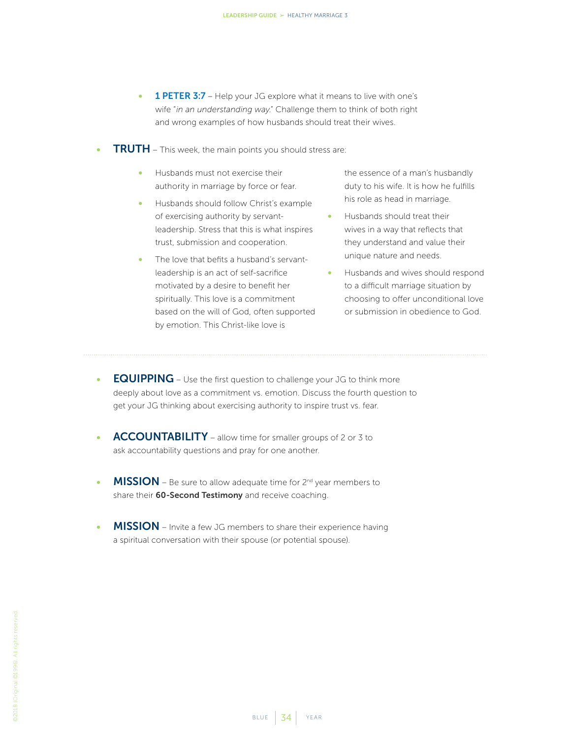- 1 PETER 3:7 Help your JG explore what it means to live with one's wife "*in an understanding way*." Challenge them to think of both right and wrong examples of how husbands should treat their wives.
- **TRUTH** This week, the main points you should stress are:
	- Husbands must not exercise their authority in marriage by force or fear.
	- Husbands should follow Christ's example of exercising authority by servantleadership. Stress that this is what inspires trust, submission and cooperation.
	- The love that befits a husband's servantleadership is an act of self-sacrifice motivated by a desire to benefit her spiritually. This love is a commitment based on the will of God, often supported by emotion. This Christ-like love is

the essence of a man's husbandly duty to his wife. It is how he fulfills his role as head in marriage.

- Husbands should treat their wives in a way that reflects that they understand and value their unique nature and needs.
- Husbands and wives should respond to a difficult marriage situation by choosing to offer unconditional love or submission in obedience to God.
- **EQUIPPING** Use the first question to challenge your JG to think more deeply about love as a commitment vs. emotion. Discuss the fourth question to get your JG thinking about exercising authority to inspire trust vs. fear.
- ACCOUNTABILITY allow time for smaller groups of 2 or 3 to ask accountability questions and pray for one another.
- MISSION Be sure to allow adequate time for 2<sup>nd</sup> year members to share their 60-Second Testimony and receive coaching.
- **MISSION** Invite a few JG members to share their experience having a spiritual conversation with their spouse (or potential spouse).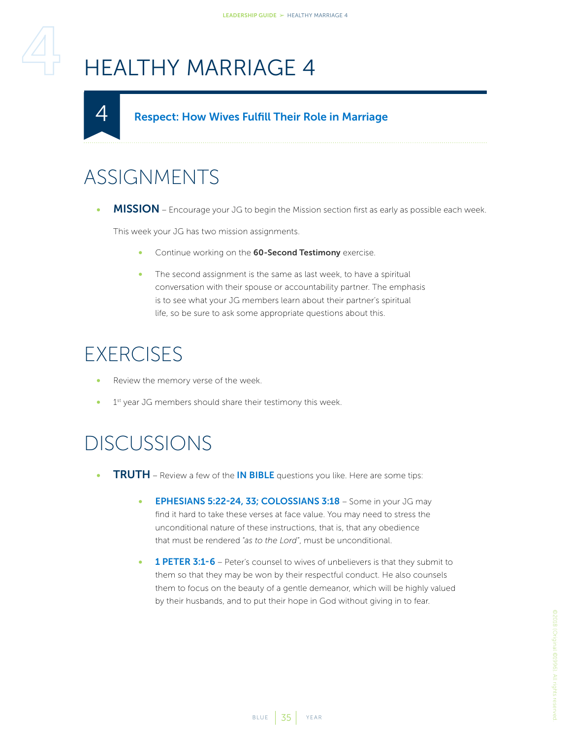# <span id="page-34-1"></span>HEALTHY MARRIAGE 4

#### Respect: How Wives Fulfill Their Role in Marriage

### ASSIGNMENTS

<span id="page-34-0"></span>4

• MISSION – Encourage your JG to begin the Mission section first as early as possible each week.

This week your JG has two mission assignments.

- Continue working on the 60-Second Testimony exercise.
- The second assignment is the same as last week, to have a spiritual conversation with their spouse or accountability partner. The emphasis is to see what your JG members learn about their partner's spiritual life, so be sure to ask some appropriate questions about this.

#### **EXERCISES**

- Review the memory verse of the week.
- 1<sup>st</sup> year JG members should share their testimony this week.

- **TRUTH** Review a few of the **IN BIBLE** questions you like. Here are some tips:
	- EPHESIANS 5:22-24, 33; COLOSSIANS 3:18 Some in your JG may find it hard to take these verses at face value. You may need to stress the unconditional nature of these instructions, that is, that any obedience that must be rendered "*as to the Lord*", must be unconditional.
	- 1 PETER 3:1-6 Peter's counsel to wives of unbelievers is that they submit to them so that they may be won by their respectful conduct. He also counsels them to focus on the beauty of a gentle demeanor, which will be highly valued by their husbands, and to put their hope in God without giving in to fear.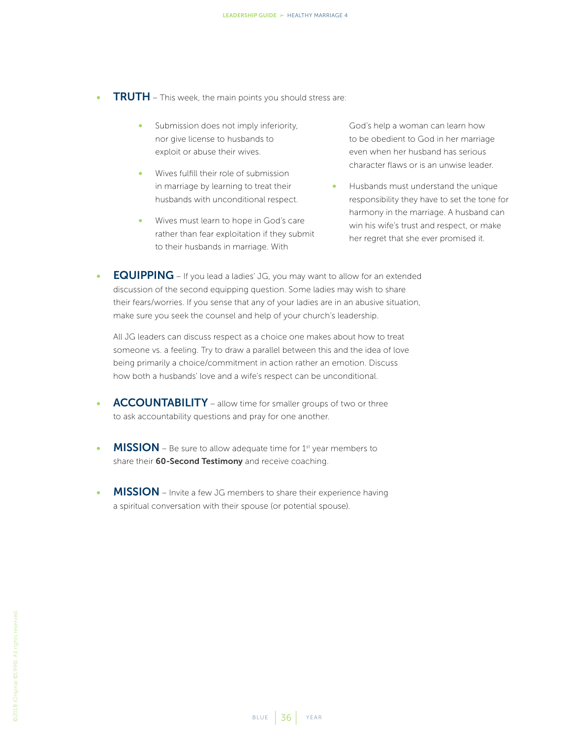- **TRUTH** This week, the main points you should stress are:
	- Submission does not imply inferiority, nor give license to husbands to exploit or abuse their wives.
	- Wives fulfill their role of submission in marriage by learning to treat their husbands with unconditional respect.
	- Wives must learn to hope in God's care rather than fear exploitation if they submit to their husbands in marriage. With

God's help a woman can learn how to be obedient to God in her marriage even when her husband has serious character flaws or is an unwise leader.

- Husbands must understand the unique responsibility they have to set the tone for harmony in the marriage. A husband can win his wife's trust and respect, or make her regret that she ever promised it.
- **EQUIPPING** If you lead a ladies' JG, you may want to allow for an extended discussion of the second equipping question. Some ladies may wish to share their fears/worries. If you sense that any of your ladies are in an abusive situation, make sure you seek the counsel and help of your church's leadership.

All JG leaders can discuss respect as a choice one makes about how to treat someone vs. a feeling. Try to draw a parallel between this and the idea of love being primarily a choice/commitment in action rather an emotion. Discuss how both a husbands' love and a wife's respect can be unconditional.

- ACCOUNTABILITY allow time for smaller groups of two or three to ask accountability questions and pray for one another.
- **MISSION** Be sure to allow adequate time for  $1<sup>st</sup>$  year members to share their 60-Second Testimony and receive coaching.
- MISSION Invite a few JG members to share their experience having a spiritual conversation with their spouse (or potential spouse).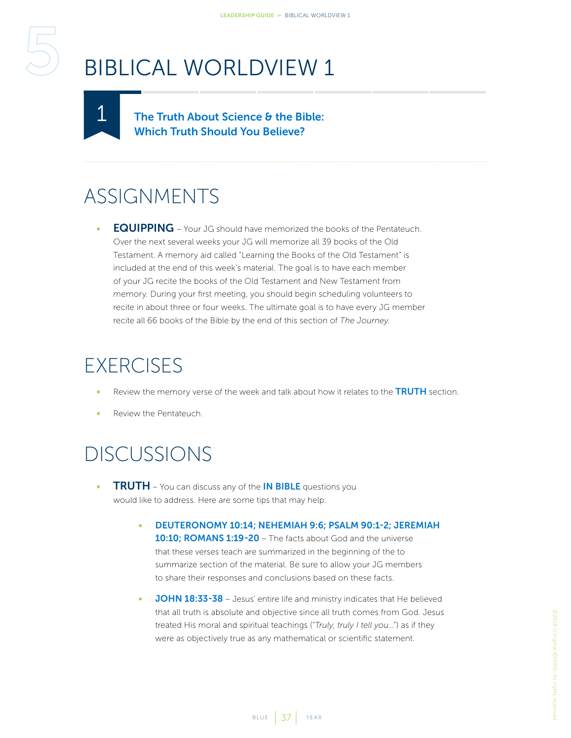<span id="page-36-2"></span><span id="page-36-1"></span><span id="page-36-0"></span>

The Truth About Science & the Bible: Which Truth Should You Believe?

#### ASSIGNMENTS

**EQUIPPING** – Your JG should have memorized the books of the Pentateuch. Over the next several weeks your JG will memorize all 39 books of the Old Testament. A memory aid called "Learning the Books of the Old Testament" is included at the end of this week's material. The goal is to have each member of your JG recite the books of the Old Testament and New Testament from memory. During your first meeting, you should begin scheduling volunteers to recite in about three or four weeks. The ultimate goal is to have every JG member recite all 66 books of the Bible by the end of this section of *The Journey*.

#### **EXERCISES**

- Review the memory verse of the week and talk about how it relates to the TRUTH section.
- Review the Pentateuch.

- **TRUTH** You can discuss any of the IN BIBLE questions you would like to address. Here are some tips that may help:
	- DEUTERONOMY 10:14; NEHEMIAH 9:6; PSALM 90:1-2; JEREMIAH 10:10; ROMANS 1:19-20 - The facts about God and the universe that these verses teach are summarized in the beginning of the to summarize section of the material. Be sure to allow your JG members to share their responses and conclusions based on these facts.
	- JOHN 18:33-38 Jesus' entire life and ministry indicates that He believed that all truth is absolute and objective since all truth comes from God. Jesus treated His moral and spiritual teachings ("*Truly, truly I tell you*…") as if they were as objectively true as any mathematical or scientific statement.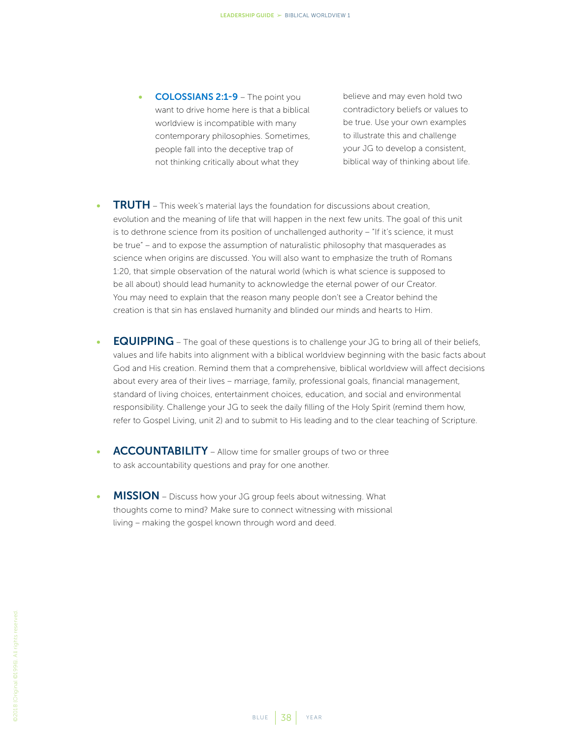• COLOSSIANS 2:1-9 – The point you want to drive home here is that a biblical worldview is incompatible with many contemporary philosophies. Sometimes, people fall into the deceptive trap of not thinking critically about what they

believe and may even hold two contradictory beliefs or values to be true. Use your own examples to illustrate this and challenge your JG to develop a consistent, biblical way of thinking about life.

- **TRUTH** This week's material lays the foundation for discussions about creation, evolution and the meaning of life that will happen in the next few units. The goal of this unit is to dethrone science from its position of unchallenged authority – "If it's science, it must be true" – and to expose the assumption of naturalistic philosophy that masquerades as science when origins are discussed. You will also want to emphasize the truth of Romans 1:20, that simple observation of the natural world (which is what science is supposed to be all about) should lead humanity to acknowledge the eternal power of our Creator. You may need to explain that the reason many people don't see a Creator behind the creation is that sin has enslaved humanity and blinded our minds and hearts to Him.
- **EQUIPPING** The goal of these questions is to challenge your JG to bring all of their beliefs, values and life habits into alignment with a biblical worldview beginning with the basic facts about God and His creation. Remind them that a comprehensive, biblical worldview will affect decisions about every area of their lives – marriage, family, professional goals, financial management, standard of living choices, entertainment choices, education, and social and environmental responsibility. Challenge your JG to seek the daily filling of the Holy Spirit (remind them how, refer to Gospel Living, unit 2) and to submit to His leading and to the clear teaching of Scripture.
- ACCOUNTABILITY Allow time for smaller groups of two or three to ask accountability questions and pray for one another.
- MISSION Discuss how your JG group feels about witnessing. What thoughts come to mind? Make sure to connect witnessing with missional living – making the gospel known through word and deed.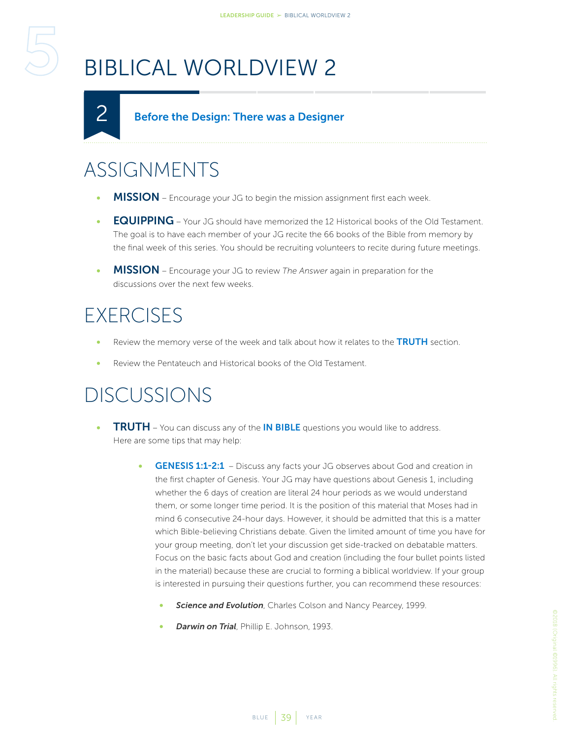#### Before the Design: There was a Designer

### ASSIGNMENTS

<span id="page-38-1"></span><span id="page-38-0"></span>2

- MISSION Encourage your JG to begin the mission assignment first each week.
- **EQUIPPING** Your JG should have memorized the 12 Historical books of the Old Testament. The goal is to have each member of your JG recite the 66 books of the Bible from memory by the final week of this series. You should be recruiting volunteers to recite during future meetings.
- MISSION Encourage your JG to review *The Answer* again in preparation for the discussions over the next few weeks.

#### **EXERCISES**

- Review the memory verse of the week and talk about how it relates to the TRUTH section.
- Review the Pentateuch and Historical books of the Old Testament.

- **TRUTH** You can discuss any of the **IN BIBLE** questions you would like to address. Here are some tips that may help:
	- GENESIS 1:1-2:1 Discuss any facts your JG observes about God and creation in the first chapter of Genesis. Your JG may have questions about Genesis 1, including whether the 6 days of creation are literal 24 hour periods as we would understand them, or some longer time period. It is the position of this material that Moses had in mind 6 consecutive 24-hour days. However, it should be admitted that this is a matter which Bible-believing Christians debate. Given the limited amount of time you have for your group meeting, don't let your discussion get side-tracked on debatable matters. Focus on the basic facts about God and creation (including the four bullet points listed in the material) because these are crucial to forming a biblical worldview. If your group is interested in pursuing their questions further, you can recommend these resources:
		- **Science and Evolution**, Charles Colson and Nancy Pearcey, 1999.
		- *Darwin on Trial*, Phillip E. Johnson, 1993.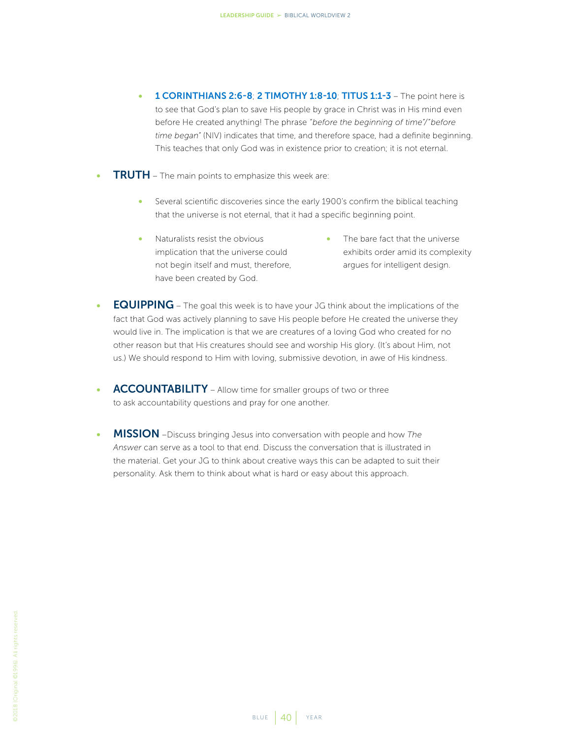- 1 CORINTHIANS 2:6-8; 2 TIMOTHY 1:8-10; TITUS 1:1-3 The point here is to see that God's plan to save His people by grace in Christ was in His mind even before He created anything! The phrase *"before the beginning of time"/"before time began"* (NIV) indicates that time, and therefore space, had a definite beginning. This teaches that only God was in existence prior to creation; it is not eternal.
- **TRUTH** The main points to emphasize this week are:
	- Several scientific discoveries since the early 1900's confirm the biblical teaching that the universe is not eternal, that it had a specific beginning point.
	- Naturalists resist the obvious implication that the universe could not begin itself and must, therefore, have been created by God.
- The bare fact that the universe exhibits order amid its complexity argues for intelligent design.
- **EQUIPPING** The goal this week is to have your JG think about the implications of the fact that God was actively planning to save His people before He created the universe they would live in. The implication is that we are creatures of a loving God who created for no other reason but that His creatures should see and worship His glory. (It's about Him, not us.) We should respond to Him with loving, submissive devotion, in awe of His kindness.
- ACCOUNTABILITY Allow time for smaller groups of two or three to ask accountability questions and pray for one another.
- MISSION –Discuss bringing Jesus into conversation with people and how *The Answer* can serve as a tool to that end. Discuss the conversation that is illustrated in the material. Get your JG to think about creative ways this can be adapted to suit their personality. Ask them to think about what is hard or easy about this approach.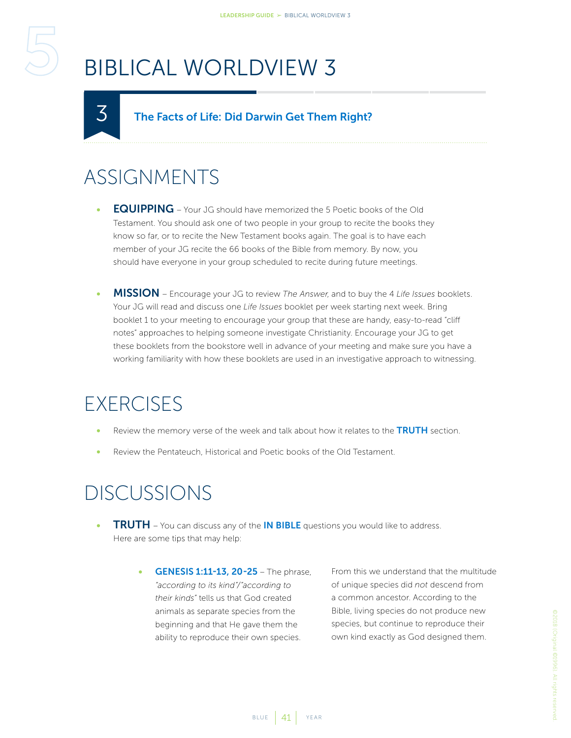#### The Facts of Life: Did Darwin Get Them Right?

### ASSIGNMENTS

<span id="page-40-1"></span><span id="page-40-0"></span>3

- **EQUIPPING** Your JG should have memorized the 5 Poetic books of the Old Testament. You should ask one of two people in your group to recite the books they know so far, or to recite the New Testament books again. The goal is to have each member of your JG recite the 66 books of the Bible from memory. By now, you should have everyone in your group scheduled to recite during future meetings.
- MISSION Encourage your JG to review *The Answer*, and to buy the 4 *Life Issues* booklets. Your JG will read and discuss one *Life Issues* booklet per week starting next week. Bring booklet 1 to your meeting to encourage your group that these are handy, easy-to-read "cliff notes" approaches to helping someone investigate Christianity. Encourage your JG to get these booklets from the bookstore well in advance of your meeting and make sure you have a working familiarity with how these booklets are used in an investigative approach to witnessing.

#### **EXERCISES**

- Review the memory verse of the week and talk about how it relates to the TRUTH section.
- Review the Pentateuch, Historical and Poetic books of the Old Testament.

#### DISCUSSIONS

- TRUTH You can discuss any of the IN BIBLE questions you would like to address. Here are some tips that may help:
	- GENESIS 1:11-13, 20-25 The phrase, *"according to its kind"/"according to their kinds"* tells us that God created animals as separate species from the beginning and that He gave them the ability to reproduce their own species.

From this we understand that the multitude of unique species did *not* descend from a common ancestor. According to the Bible, living species do not produce new species, but continue to reproduce their own kind exactly as God designed them.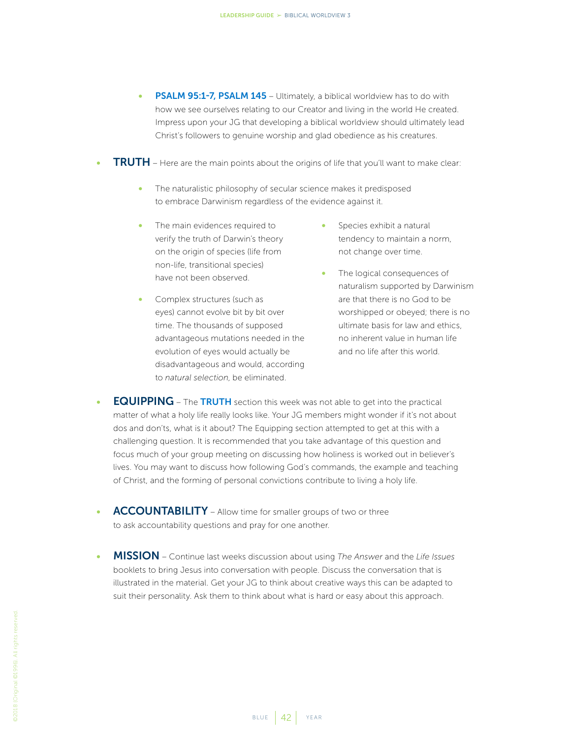- **PSALM 95:1-7, PSALM 145** Ultimately, a biblical worldview has to do with how we see ourselves relating to our Creator and living in the world He created. Impress upon your JG that developing a biblical worldview should ultimately lead Christ's followers to genuine worship and glad obedience as his creatures.
- **TRUTH** Here are the main points about the origins of life that you'll want to make clear:
	- The naturalistic philosophy of secular science makes it predisposed to embrace Darwinism regardless of the evidence against it.
	- The main evidences required to verify the truth of Darwin's theory on the origin of species (life from non-life, transitional species) have not been observed.
	- Complex structures (such as eyes) cannot evolve bit by bit over time. The thousands of supposed advantageous mutations needed in the evolution of eyes would actually be disadvantageous and would, according to *natural selection*, be eliminated.
- Species exhibit a natural tendency to maintain a norm, not change over time.
- The logical consequences of naturalism supported by Darwinism are that there is no God to be worshipped or obeyed; there is no ultimate basis for law and ethics, no inherent value in human life and no life after this world.
- **EQUIPPING** The TRUTH section this week was not able to get into the practical matter of what a holy life really looks like. Your JG members might wonder if it's not about dos and don'ts, what is it about? The Equipping section attempted to get at this with a challenging question. It is recommended that you take advantage of this question and focus much of your group meeting on discussing how holiness is worked out in believer's lives. You may want to discuss how following God's commands, the example and teaching of Christ, and the forming of personal convictions contribute to living a holy life.
- ACCOUNTABILITY Allow time for smaller groups of two or three to ask accountability questions and pray for one another.
- MISSION Continue last weeks discussion about using *The Answer* and the *Life Issues* booklets to bring Jesus into conversation with people. Discuss the conversation that is illustrated in the material. Get your JG to think about creative ways this can be adapted to suit their personality. Ask them to think about what is hard or easy about this approach.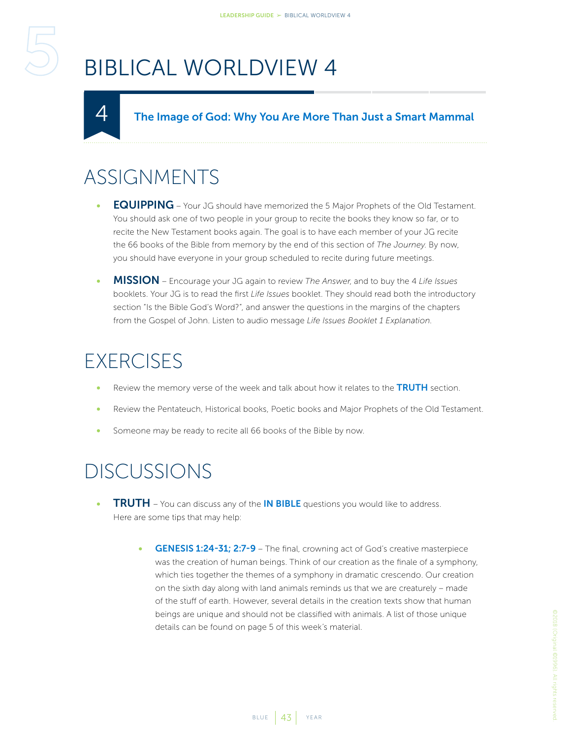#### The Image of God: Why You Are More Than Just a Smart Mammal

### ASSIGNMENTS

<span id="page-42-1"></span><span id="page-42-0"></span>4

- **EQUIPPING** Your JG should have memorized the 5 Major Prophets of the Old Testament. You should ask one of two people in your group to recite the books they know so far, or to recite the New Testament books again. The goal is to have each member of your JG recite the 66 books of the Bible from memory by the end of this section of *The Journey*. By now, you should have everyone in your group scheduled to recite during future meetings.
- MISSION Encourage your JG again to review *The Answer*, and to buy the 4 *Life Issues* booklets. Your JG is to read the first *Life Issues* booklet. They should read both the introductory section "Is the Bible God's Word?", and answer the questions in the margins of the chapters from the Gospel of John. Listen to audio message *Life Issues Booklet 1 Explanation*.

#### **EXERCISES**

- Review the memory verse of the week and talk about how it relates to the **TRUTH** section.
- Review the Pentateuch, Historical books, Poetic books and Major Prophets of the Old Testament.
- Someone may be ready to recite all 66 books of the Bible by now.

- **TRUTH** You can discuss any of the **IN BIBLE** questions you would like to address. Here are some tips that may help:
	- GENESIS 1:24-31; 2:7-9 The final, crowning act of God's creative masterpiece was the creation of human beings. Think of our creation as the finale of a symphony, which ties together the themes of a symphony in dramatic crescendo. Our creation on the sixth day along with land animals reminds us that we are creaturely – made of the stuff of earth. However, several details in the creation texts show that human beings are unique and should not be classified with animals. A list of those unique details can be found on page 5 of this week's material.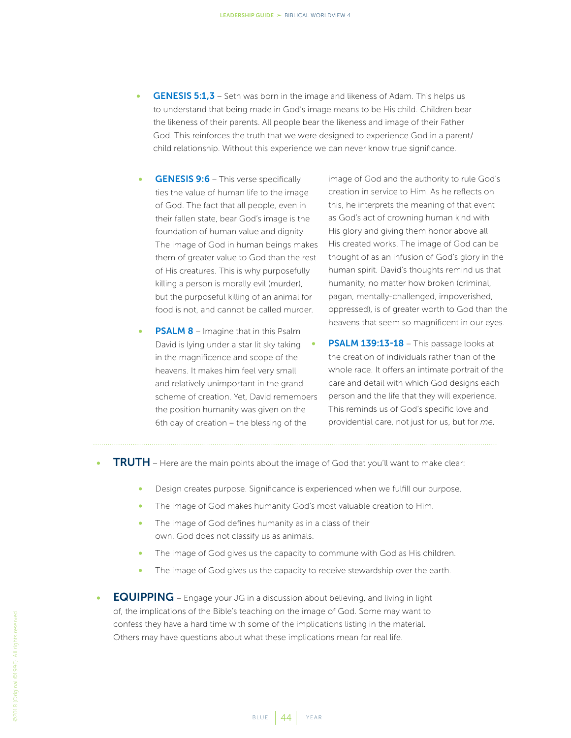- **GENESIS 5:1,3** Seth was born in the image and likeness of Adam. This helps us to understand that being made in God's image means to be His child. Children bear the likeness of their parents. All people bear the likeness and image of their Father God. This reinforces the truth that we were designed to experience God in a parent/ child relationship. Without this experience we can never know true significance.
- GENESIS 9:6 This verse specifically ties the value of human life to the image of God. The fact that all people, even in their fallen state, bear God's image is the foundation of human value and dignity. The image of God in human beings makes them of greater value to God than the rest of His creatures. This is why purposefully killing a person is morally evil (murder), but the purposeful killing of an animal for food is not, and cannot be called murder.
- **PSALM 8** Imagine that in this Psalm David is lying under a star lit sky taking in the magnificence and scope of the heavens. It makes him feel very small and relatively unimportant in the grand scheme of creation. Yet, David remembers the position humanity was given on the 6th day of creation – the blessing of the

image of God and the authority to rule God's creation in service to Him. As he reflects on this, he interprets the meaning of that event as God's act of crowning human kind with His glory and giving them honor above all His created works. The image of God can be thought of as an infusion of God's glory in the human spirit. David's thoughts remind us that humanity, no matter how broken (criminal, pagan, mentally-challenged, impoverished, oppressed), is of greater worth to God than the heavens that seem so magnificent in our eyes.

- PSALM 139:13-18 This passage looks at the creation of individuals rather than of the whole race. It offers an intimate portrait of the care and detail with which God designs each person and the life that they will experience. This reminds us of God's specific love and providential care, not just for us, but for *me*.
- **TRUTH** Here are the main points about the image of God that you'll want to make clear:
	- Design creates purpose. Significance is experienced when we fulfill our purpose.
	- The image of God makes humanity God's most valuable creation to Him.
	- The image of God defines humanity as in a class of their own. God does not classify us as animals.
	- The image of God gives us the capacity to commune with God as His children.
	- The image of God gives us the capacity to receive stewardship over the earth.
- EQUIPPING Engage your JG in a discussion about believing, and living in light of, the implications of the Bible's teaching on the image of God. Some may want to confess they have a hard time with some of the implications listing in the material. Others may have questions about what these implications mean for real life.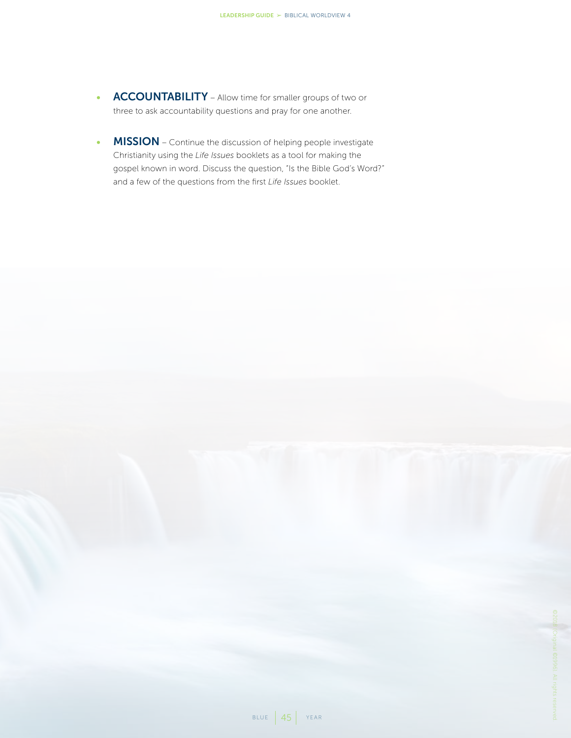- **ACCOUNTABILITY** Allow time for smaller groups of two or three to ask accountability questions and pray for one another.
- MISSION Continue the discussion of helping people investigate Christianity using the *Life Issues* booklets as a tool for making the gospel known in word. Discuss the question, "Is the Bible God's Word?" and a few of the questions from the first *Life Issues* booklet.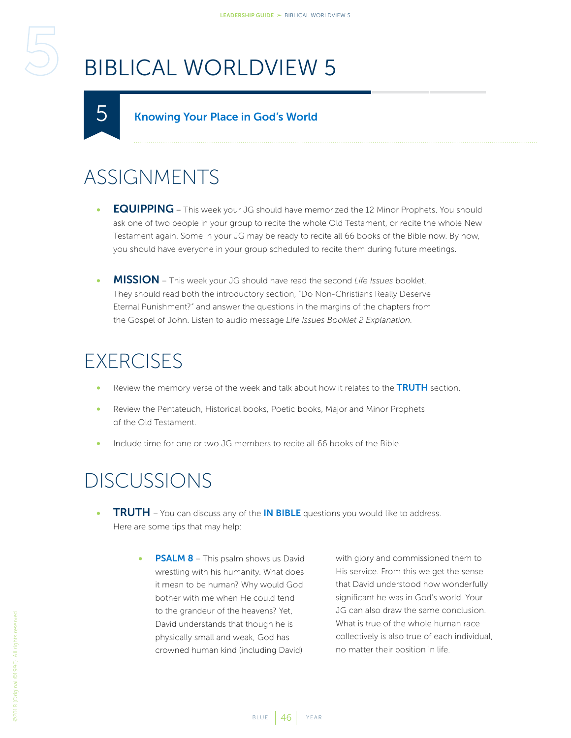#### Knowing Your Place in God's World

#### ASSIGNMENTS

<span id="page-45-1"></span><span id="page-45-0"></span>5

- **EQUIPPING** This week your JG should have memorized the 12 Minor Prophets. You should ask one of two people in your group to recite the whole Old Testament, or recite the whole New Testament again. Some in your JG may be ready to recite all 66 books of the Bible now. By now, you should have everyone in your group scheduled to recite them during future meetings.
- **MISSION** This week your JG should have read the second Life Issues booklet. They should read both the introductory section, "Do Non-Christians Really Deserve Eternal Punishment?" and answer the questions in the margins of the chapters from the Gospel of John. Listen to audio message *Life Issues Booklet 2 Explanation*.

#### **EXERCISES**

- Review the memory verse of the week and talk about how it relates to the TRUTH section.
- Review the Pentateuch, Historical books, Poetic books, Major and Minor Prophets of the Old Testament.
- Include time for one or two JG members to recite all 66 books of the Bible.

#### DISCUSSIONS

- **TRUTH** You can discuss any of the **IN BIBLE** questions you would like to address. Here are some tips that may help:
	- **PSALM 8** This psalm shows us David wrestling with his humanity. What does it mean to be human? Why would God bother with me when He could tend to the grandeur of the heavens? Yet, David understands that though he is physically small and weak, God has crowned human kind (including David)

with glory and commissioned them to His service. From this we get the sense that David understood how wonderfully significant he was in God's world. Your JG can also draw the same conclusion. What is true of the whole human race collectively is also true of each individual, no matter their position in life.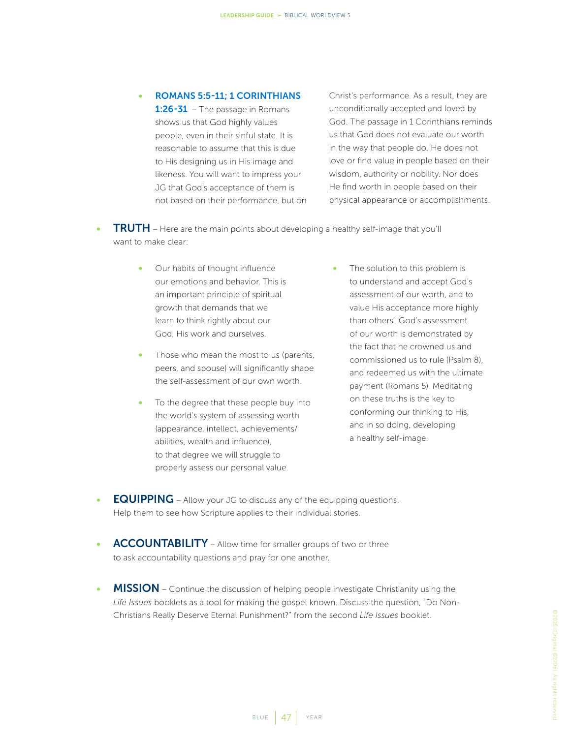#### • ROMANS 5:5-11; 1 CORINTHIANS

1:26-31 – The passage in Romans shows us that God highly values people, even in their sinful state. It is reasonable to assume that this is due to His designing us in His image and likeness. You will want to impress your JG that God's acceptance of them is not based on their performance, but on

Christ's performance. As a result, they are unconditionally accepted and loved by God. The passage in 1 Corinthians reminds us that God does not evaluate our worth in the way that people do. He does not love or find value in people based on their wisdom, authority or nobility. Nor does He find worth in people based on their physical appearance or accomplishments.

- **TRUTH** Here are the main points about developing a healthy self-image that you'll want to make clear:
	- Our habits of thought influence our emotions and behavior. This is an important principle of spiritual growth that demands that we learn to think rightly about our God, His work and ourselves.
	- Those who mean the most to us (parents, peers, and spouse) will significantly shape the self-assessment of our own worth.
	- To the degree that these people buy into the world's system of assessing worth (appearance, intellect, achievements/ abilities, wealth and influence), to that degree we will struggle to properly assess our personal value.
- The solution to this problem is to understand and accept God's assessment of our worth, and to value His acceptance more highly than others'. God's assessment of our worth is demonstrated by the fact that he crowned us and commissioned us to rule (Psalm 8), and redeemed us with the ultimate payment (Romans 5). Meditating on these truths is the key to conforming our thinking to His, and in so doing, developing a healthy self-image.
- **EQUIPPING** Allow your JG to discuss any of the equipping questions. Help them to see how Scripture applies to their individual stories.
- ACCOUNTABILITY Allow time for smaller groups of two or three to ask accountability questions and pray for one another.
- MISSION Continue the discussion of helping people investigate Christianity using the *Life Issues* booklets as a tool for making the gospel known. Discuss the question, "Do Non-Christians Really Deserve Eternal Punishment?" from the second *Life Issues* booklet.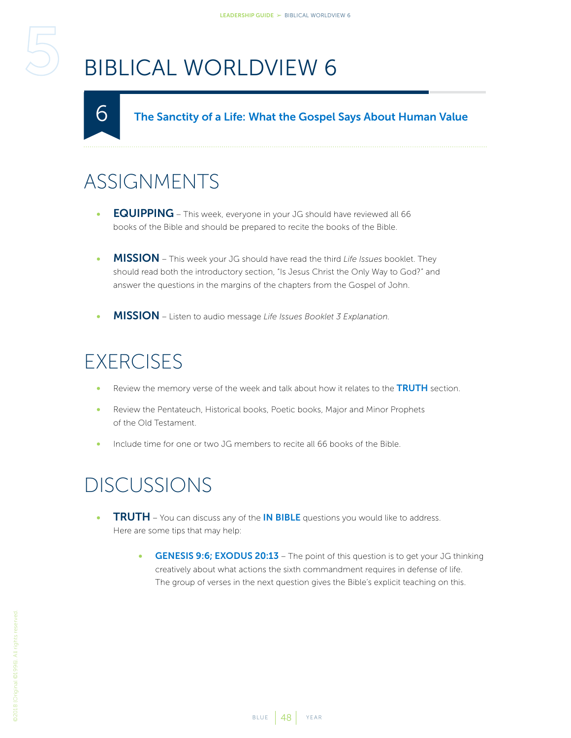The Sanctity of a Life: What the Gospel Says About Human Value

### ASSIGNMENTS

<span id="page-47-1"></span><span id="page-47-0"></span> $\mathsf{\Omega}% _{T}=\mathsf{\Omega}_{T}\!\left( a,b\right) ,\mathsf{\Omega}_{T}=\mathsf{\Omega}_{T}\!\left( a,b\right) ,$ 

- EQUIPPING This week, everyone in your JG should have reviewed all 66 books of the Bible and should be prepared to recite the books of the Bible.
- MISSION This week your JG should have read the third *Life Issues* booklet. They should read both the introductory section, "Is Jesus Christ the Only Way to God?" and answer the questions in the margins of the chapters from the Gospel of John.
- MISSION Listen to audio message *Life Issues Booklet 3 Explanation*.

### **EXERCISES**

- Review the memory verse of the week and talk about how it relates to the TRUTH section.
- Review the Pentateuch, Historical books, Poetic books, Major and Minor Prophets of the Old Testament.
- Include time for one or two JG members to recite all 66 books of the Bible.

- **TRUTH** You can discuss any of the **IN BIBLE** questions you would like to address. Here are some tips that may help:
	- GENESIS 9:6; EXODUS 20:13 The point of this question is to get your JG thinking creatively about what actions the sixth commandment requires in defense of life. The group of verses in the next question gives the Bible's explicit teaching on this.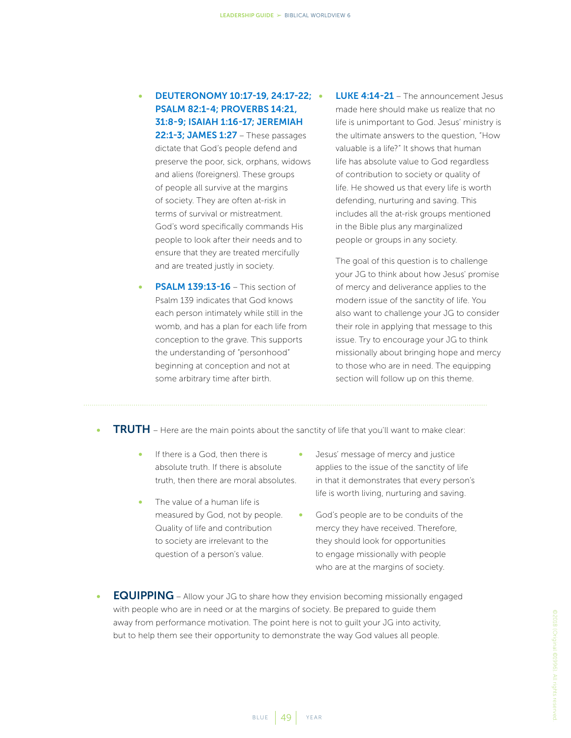#### • DEUTERONOMY 10:17-19, 24:17-22; PSALM 82:1-4; PROVERBS 14:21, 31:8-9; ISAIAH 1:16-17; JEREMIAH 22:1-3: JAMES 1:27 - These passages

dictate that God's people defend and preserve the poor, sick, orphans, widows and aliens (foreigners). These groups of people all survive at the margins of society. They are often at-risk in terms of survival or mistreatment. God's word specifically commands His people to look after their needs and to ensure that they are treated mercifully and are treated justly in society.

- **PSALM 139:13-16** This section of Psalm 139 indicates that God knows each person intimately while still in the womb, and has a plan for each life from conception to the grave. This supports the understanding of "personhood" beginning at conception and not at some arbitrary time after birth.
- **LUKE 4:14-21** The announcement Jesus made here should make us realize that no life is unimportant to God. Jesus' ministry is the ultimate answers to the question, "How valuable is a life?" It shows that human life has absolute value to God regardless of contribution to society or quality of life. He showed us that every life is worth defending, nurturing and saving. This includes all the at-risk groups mentioned in the Bible plus any marginalized people or groups in any society.

The goal of this question is to challenge your JG to think about how Jesus' promise of mercy and deliverance applies to the modern issue of the sanctity of life. You also want to challenge your JG to consider their role in applying that message to this issue. Try to encourage your JG to think missionally about bringing hope and mercy to those who are in need. The equipping section will follow up on this theme.

- **TRUTH** Here are the main points about the sanctity of life that you'll want to make clear:
	- If there is a God, then there is absolute truth. If there is absolute truth, then there are moral absolutes.
	- The value of a human life is measured by God, not by people. Quality of life and contribution to society are irrelevant to the question of a person's value.
- Jesus' message of mercy and justice applies to the issue of the sanctity of life in that it demonstrates that every person's life is worth living, nurturing and saving.
- God's people are to be conduits of the mercy they have received. Therefore, they should look for opportunities to engage missionally with people who are at the margins of society.
- **EQUIPPING** Allow your JG to share how they envision becoming missionally engaged with people who are in need or at the margins of society. Be prepared to guide them away from performance motivation. The point here is not to guilt your JG into activity, but to help them see their opportunity to demonstrate the way God values all people.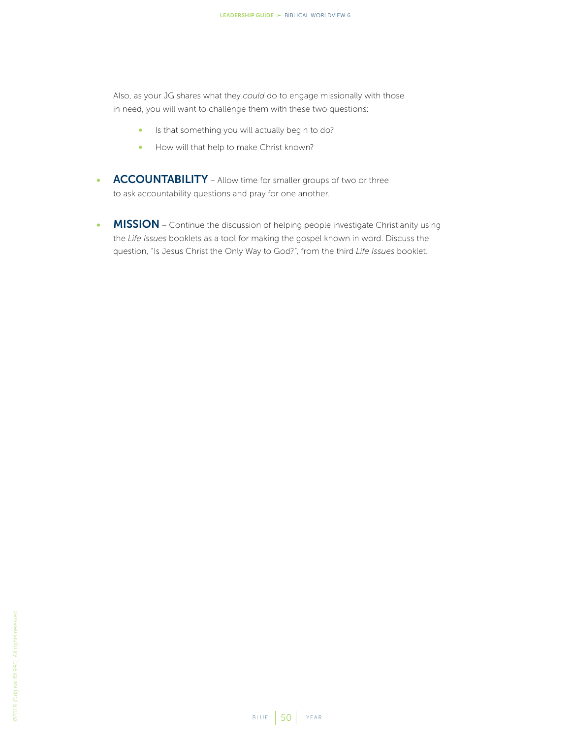Also, as your JG shares what they *could* do to engage missionally with those in need, you will want to challenge them with these two questions:

- Is that something you will actually begin to do?
- How will that help to make Christ known?
- ACCOUNTABILITY Allow time for smaller groups of two or three to ask accountability questions and pray for one another.
- MISSION Continue the discussion of helping people investigate Christianity using the *Life Issues* booklets as a tool for making the gospel known in word. Discuss the question, "Is Jesus Christ the Only Way to God?", from the third *Life Issues* booklet.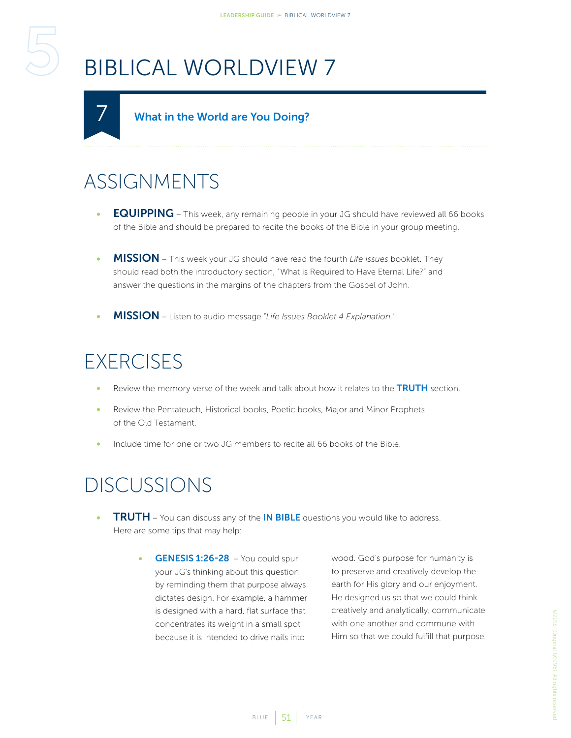#### What in the World are You Doing?

### ASSIGNMENTS

<span id="page-50-1"></span><span id="page-50-0"></span>7

- EQUIPPING This week, any remaining people in your JG should have reviewed all 66 books of the Bible and should be prepared to recite the books of the Bible in your group meeting.
- MISSION This week your JG should have read the fourth *Life Issues* booklet. They should read both the introductory section, "What is Required to Have Eternal Life?" and answer the questions in the margins of the chapters from the Gospel of John.
- MISSION Listen to audio message "*Life Issues Booklet 4 Explanation.*"

### **EXERCISES**

- Review the memory verse of the week and talk about how it relates to the TRUTH section.
- Review the Pentateuch, Historical books, Poetic books, Major and Minor Prophets of the Old Testament.
- Include time for one or two JG members to recite all 66 books of the Bible.

#### DISCUSSIONS

- **TRUTH** You can discuss any of the **IN BIBLE** questions you would like to address. Here are some tips that may help:
	- GENESIS 1:26-28 You could spur your JG's thinking about this question by reminding them that purpose always dictates design. For example, a hammer is designed with a hard, flat surface that concentrates its weight in a small spot because it is intended to drive nails into

wood. God's purpose for humanity is to preserve and creatively develop the earth for His glory and our enjoyment. He designed us so that we could think creatively and analytically, communicate with one another and commune with Him so that we could fulfill that purpose.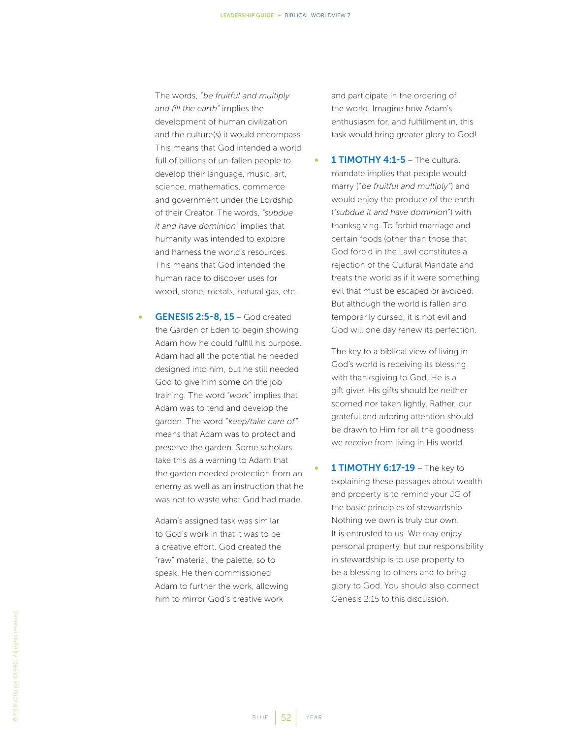The words, *"be fruitful and multiply and fill the earth"* implies the development of human civilization and the culture(s) it would encompass. This means that God intended a world full of billions of un-fallen people to develop their language, music, art, science, mathematics, commerce and government under the Lordship of their Creator. The words, *"subdue it and have dominion"* implies that humanity was intended to explore and harness the world's resources. This means that God intended the human race to discover uses for wood, stone, metals, natural gas, etc.

**GENESIS 2:5-8, 15 – God created** the Garden of Eden to begin showing Adam how he could fulfill his purpose. Adam had all the potential he needed designed into him, but he still needed God to give him some on the job training. The word "*work*" implies that Adam was to tend and develop the garden. The word *"keep/take care of"*  means that Adam was to protect and preserve the garden. Some scholars take this as a warning to Adam that the garden needed protection from an enemy as well as an instruction that he was not to waste what God had made.

Adam's assigned task was similar to God's work in that it was to be a creative effort. God created the "raw" material, the palette, so to speak. He then commissioned Adam to further the work, allowing him to mirror God's creative work

and participate in the ordering of the world. Imagine how Adam's enthusiasm for, and fulfillment in, this task would bring greater glory to God!

1 TIMOTHY 4:1-5 - The cultural mandate implies that people would marry (*"be fruitful and multiply"*) and would enjoy the produce of the earth (*"subdue it and have dominion"*) with thanksgiving. To forbid marriage and certain foods (other than those that God forbid in the Law) constitutes a rejection of the Cultural Mandate and treats the world as if it were something evil that must be escaped or avoided. But although the world is fallen and temporarily cursed, it is not evil and God will one day renew its perfection.

The key to a biblical view of living in God's world is receiving its blessing with thanksgiving to God. He is a gift giver. His gifts should be neither scorned nor taken lightly. Rather, our grateful and adoring attention should be drawn to Him for all the goodness we receive from living in His world.

1 **TIMOTHY 6:17-19** – The key to explaining these passages about wealth and property is to remind your JG of the basic principles of stewardship. Nothing we own is truly our own. It is entrusted to us. We may enjoy personal property, but our responsibility in stewardship is to use property to be a blessing to others and to bring glory to God. You should also connect Genesis 2:15 to this discussion.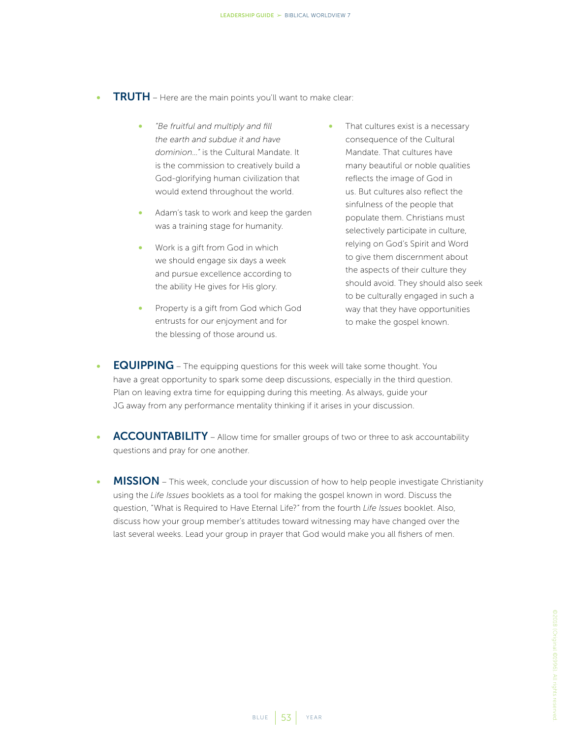- **TRUTH** Here are the main points you'll want to make clear:
	- *"Be fruitful and multiply and fill the earth and subdue it and have dominion…"* is the Cultural Mandate. It is the commission to creatively build a God-glorifying human civilization that would extend throughout the world.
	- Adam's task to work and keep the garden was a training stage for humanity.
	- Work is a gift from God in which we should engage six days a week and pursue excellence according to the ability He gives for His glory.
	- Property is a gift from God which God entrusts for our enjoyment and for the blessing of those around us.
- That cultures exist is a necessary consequence of the Cultural Mandate. That cultures have many beautiful or noble qualities reflects the image of God in us. But cultures also reflect the sinfulness of the people that populate them. Christians must selectively participate in culture, relying on God's Spirit and Word to give them discernment about the aspects of their culture they should avoid. They should also seek to be culturally engaged in such a way that they have opportunities to make the gospel known.
- EQUIPPING The equipping questions for this week will take some thought. You have a great opportunity to spark some deep discussions, especially in the third question. Plan on leaving extra time for equipping during this meeting. As always, guide your JG away from any performance mentality thinking if it arises in your discussion.
- **ACCOUNTABILITY** Allow time for smaller groups of two or three to ask accountability questions and pray for one another.
- MISSION This week, conclude your discussion of how to help people investigate Christianity using the *Life Issues* booklets as a tool for making the gospel known in word. Discuss the question, "What is Required to Have Eternal Life?" from the fourth *Life Issues* booklet. Also, discuss how your group member's attitudes toward witnessing may have changed over the last several weeks. Lead your group in prayer that God would make you all fishers of men.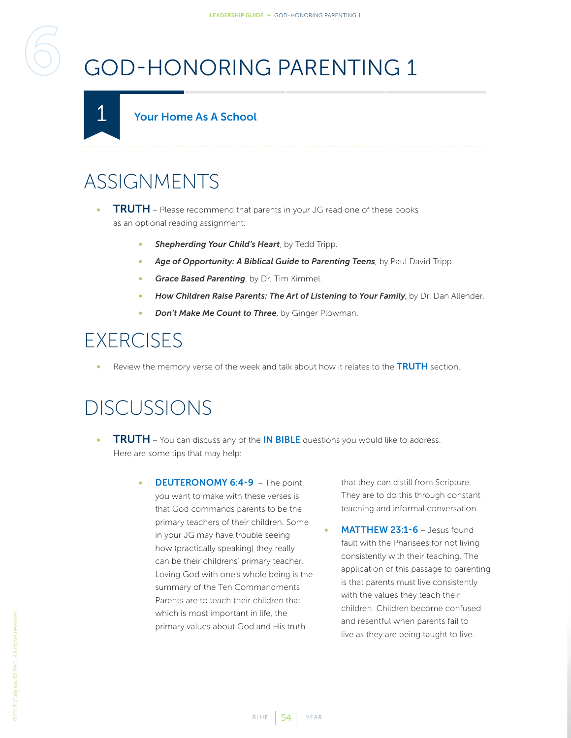# <span id="page-53-2"></span><span id="page-53-0"></span>GOD-HONORING PARENTING 1

<span id="page-53-1"></span>

### ASSIGNMENTS

- **TRUTH** Please recommend that parents in your JG read one of these books as an optional reading assignment:
	- *Shepherding Your Child's Heart*, by Tedd Tripp.
	- *Age of Opportunity: A Biblical Guide to Parenting Teens*, by Paul David Tripp.
	- *Grace Based Parenting*, by Dr. Tim Kimmel.
	- *How Children Raise Parents: The Art of Listening to Your Family*, by Dr. Dan Allender.
	- *Don't Make Me Count to Three*, by Ginger Plowman.

#### EXERCISES

Review the memory verse of the week and talk about how it relates to the TRUTH section.

#### DISCUSSIONS

- **TRUTH** You can discuss any of the **IN BIBLE** questions you would like to address. Here are some tips that may help:
	- **DEUTERONOMY 6:4-9** The point you want to make with these verses is that God commands parents to be the primary teachers of their children. Some in your JG may have trouble seeing how (practically speaking) they really can be their childrens' primary teacher. Loving God with one's whole being is the summary of the Ten Commandments. Parents are to teach their children that which is most important in life, the primary values about God and His truth

that they can distill from Scripture. They are to do this through constant teaching and informal conversation.

MATTHEW 23:1-6 - Jesus found fault with the Pharisees for not living consistently with their teaching. The application of this passage to parenting is that parents must live consistently with the values they teach their children. Children become confused and resentful when parents fail to live as they are being taught to live.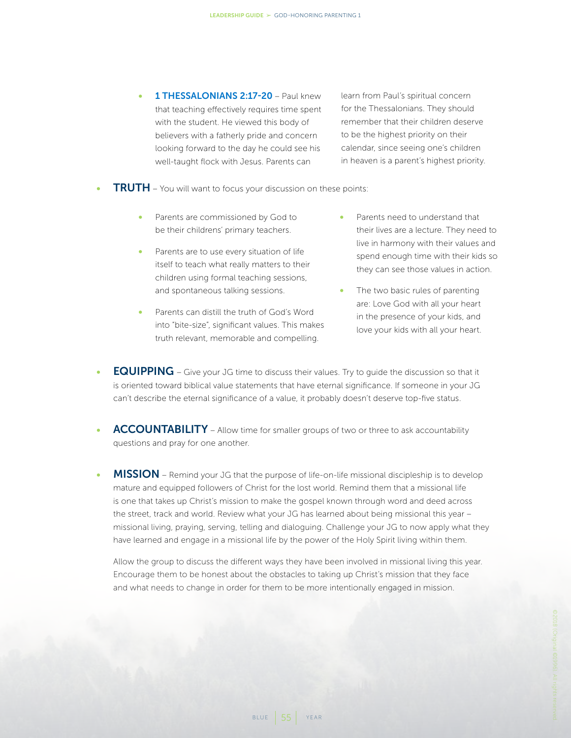1 THESSALONIANS 2:17-20 - Paul knew that teaching effectively requires time spent with the student. He viewed this body of believers with a fatherly pride and concern looking forward to the day he could see his well-taught flock with Jesus. Parents can

learn from Paul's spiritual concern for the Thessalonians. They should remember that their children deserve to be the highest priority on their calendar, since seeing one's children in heaven is a parent's highest priority.

- TRUTH You will want to focus your discussion on these points:
	- Parents are commissioned by God to be their childrens' primary teachers.
	- Parents are to use every situation of life itself to teach what really matters to their children using formal teaching sessions, and spontaneous talking sessions.
	- Parents can distill the truth of God's Word into "bite-size", significant values. This makes truth relevant, memorable and compelling.
- Parents need to understand that their lives are a lecture. They need to live in harmony with their values and spend enough time with their kids so they can see those values in action.
- The two basic rules of parenting are: Love God with all your heart in the presence of your kids, and love your kids with all your heart.
- EQUIPPING Give your JG time to discuss their values. Try to guide the discussion so that it is oriented toward biblical value statements that have eternal significance. If someone in your JG can't describe the eternal significance of a value, it probably doesn't deserve top-five status.
- ACCOUNTABILITY Allow time for smaller groups of two or three to ask accountability questions and pray for one another.
- **MISSION** Remind your JG that the purpose of life-on-life missional discipleship is to develop mature and equipped followers of Christ for the lost world. Remind them that a missional life is one that takes up Christ's mission to make the gospel known through word and deed across the street, track and world. Review what your JG has learned about being missional this year – missional living, praying, serving, telling and dialoguing. Challenge your JG to now apply what they have learned and engage in a missional life by the power of the Holy Spirit living within them.

Allow the group to discuss the different ways they have been involved in missional living this year. Encourage them to be honest about the obstacles to taking up Christ's mission that they face and what needs to change in order for them to be more intentionally engaged in mission.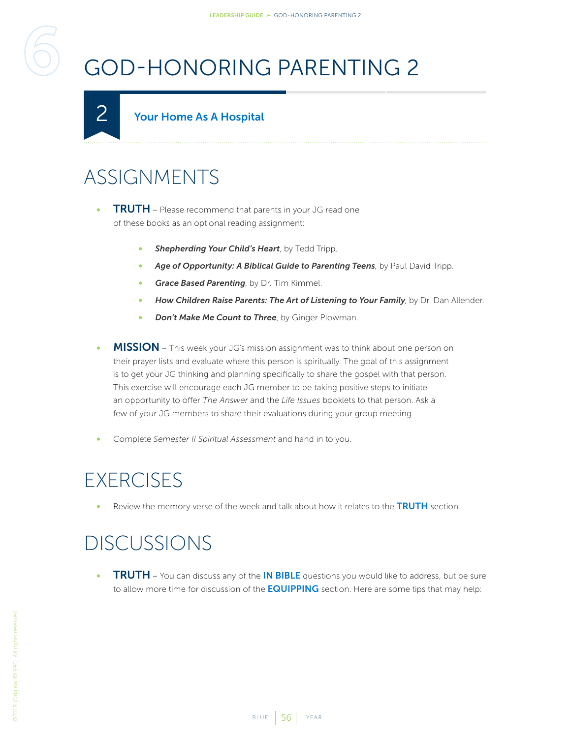# <span id="page-55-1"></span>GOD-HONORING PARENTING 2

#### Your Home As A Hospital

#### ASSIGNMENTS

<span id="page-55-0"></span>2

- **TRUTH** Please recommend that parents in your JG read one of these books as an optional reading assignment:
	- **Shepherding Your Child's Heart**, by Tedd Tripp.
	- *Age of Opportunity: A Biblical Guide to Parenting Teens*, by Paul David Tripp.
	- *Grace Based Parenting*, by Dr. Tim Kimmel.
	- *How Children Raise Parents: The Art of Listening to Your Family*, by Dr. Dan Allender.
	- *Don't Make Me Count to Three*, by Ginger Plowman.
- MISSION This week your JG's mission assignment was to think about one person on their prayer lists and evaluate where this person is spiritually. The goal of this assignment is to get your JG thinking and planning specifically to share the gospel with that person. This exercise will encourage each JG member to be taking positive steps to initiate an opportunity to offer *The Answer* and the *Life Issues* booklets to that person. Ask a few of your JG members to share their evaluations during your group meeting.
- Complete *Semester II Spiritual Assessment* and hand in to you.

#### **EXERCISES**

Review the memory verse of the week and talk about how it relates to the TRUTH section.

#### DISCUSSIONS

**TRUTH** – You can discuss any of the IN BIBLE questions you would like to address, but be sure to allow more time for discussion of the **EQUIPPING** section. Here are some tips that may help: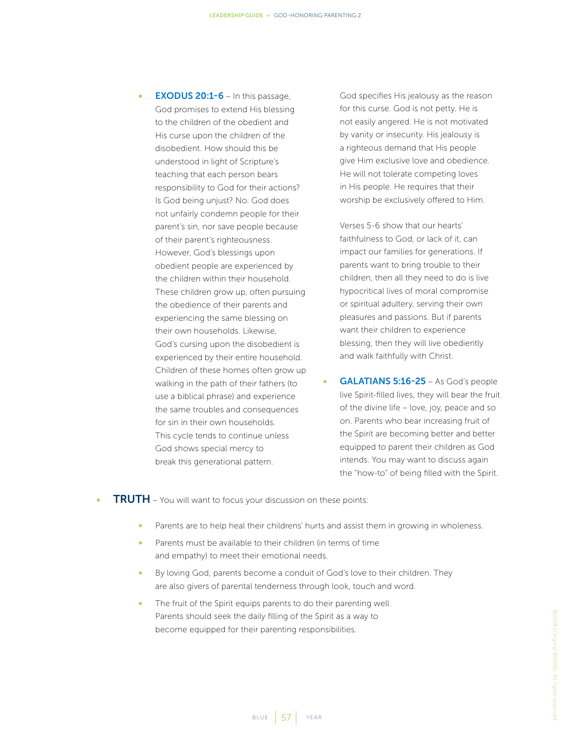**EXODUS 20:1-6** – In this passage, God promises to extend His blessing to the children of the obedient and His curse upon the children of the disobedient. How should this be understood in light of Scripture's teaching that each person bears responsibility to God for their actions? Is God being unjust? No. God does not unfairly condemn people for their parent's sin, nor save people because of their parent's righteousness. However, God's blessings upon obedient people are experienced by the children within their household. These children grow up, often pursuing the obedience of their parents and experiencing the same blessing on their own households. Likewise, God's cursing upon the disobedient is experienced by their entire household. Children of these homes often grow up walking in the path of their fathers (to use a biblical phrase) and experience the same troubles and consequences for sin in their own households. This cycle tends to continue unless God shows special mercy to break this generational pattern.

God specifies His jealousy as the reason for this curse. God is not petty. He is not easily angered. He is not motivated by vanity or insecurity. His jealousy is a righteous demand that His people give Him exclusive love and obedience. He will not tolerate competing loves in His people. He requires that their worship be exclusively offered to Him.

Verses 5-6 show that our hearts' faithfulness to God, or lack of it, can impact our families for generations. If parents want to bring trouble to their children, then all they need to do is live hypocritical lives of moral compromise or spiritual adultery, serving their own pleasures and passions. But if parents want their children to experience blessing, then they will live obediently and walk faithfully with Christ.

- GALATIANS 5:16-25 As God's people live Spirit-filled lives, they will bear the fruit of the divine life – love, joy, peace and so on. Parents who bear increasing fruit of the Spirit are becoming better and better equipped to parent their children as God intends. You may want to discuss again the "how-to" of being filled with the Spirit.
- **TRUTH** You will want to focus your discussion on these points:
	- Parents are to help heal their childrens' hurts and assist them in growing in wholeness.
	- Parents must be available to their children (in terms of time and empathy) to meet their emotional needs.
	- By loving God, parents become a conduit of God's love to their children. They are also givers of parental tenderness through look, touch and word.
	- The fruit of the Spirit equips parents to do their parenting well. Parents should seek the daily filling of the Spirit as a way to become equipped for their parenting responsibilities.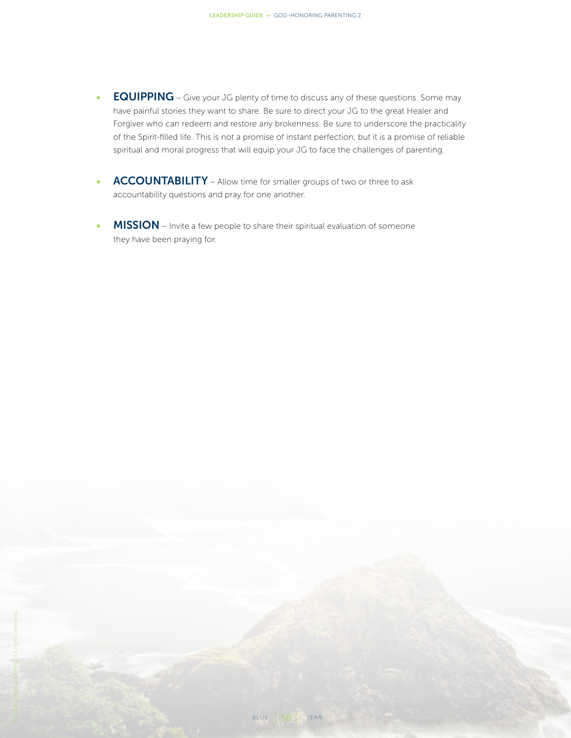- EQUIPPING Give your JG plenty of time to discuss any of these questions. Some may have painful stories they want to share. Be sure to direct your JG to the great Healer and Forgiver who can redeem and restore any brokenness. Be sure to underscore the practicality of the Spirit-filled life. This is not a promise of instant perfection, but it is a promise of reliable spiritual and moral progress that will equip your JG to face the challenges of parenting.
- ACCOUNTABILITY Allow time for smaller groups of two or three to ask accountability questions and pray for one another.
- MISSION Invite a few people to share their spiritual evaluation of someone they have been praying for.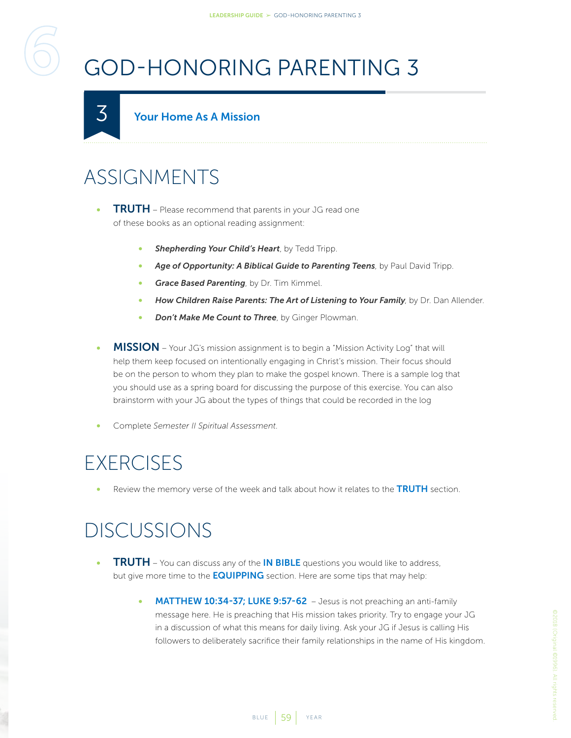# <span id="page-58-1"></span>GOD-HONORING PARENTING 3

#### Your Home As A Mission

#### ASSIGNMENTS

<span id="page-58-0"></span>3

- **TRUTH** Please recommend that parents in your JG read one of these books as an optional reading assignment:
	- *Shepherding Your Child's Heart*, by Tedd Tripp.
	- *Age of Opportunity: A Biblical Guide to Parenting Teens*, by Paul David Tripp.
	- *Grace Based Parenting*, by Dr. Tim Kimmel.
	- *How Children Raise Parents: The Art of Listening to Your Family*, by Dr. Dan Allender.
	- *Don't Make Me Count to Three*, by Ginger Plowman.
- **MISSION** Your JG's mission assignment is to begin a "Mission Activity Log" that will help them keep focused on intentionally engaging in Christ's mission. Their focus should be on the person to whom they plan to make the gospel known. There is a sample log that you should use as a spring board for discussing the purpose of this exercise. You can also brainstorm with your JG about the types of things that could be recorded in the log
- Complete *Semester II Spiritual Assessment*.

#### **EXERCISES**

Review the memory verse of the week and talk about how it relates to the TRUTH section.

- **TRUTH** You can discuss any of the **IN BIBLE** questions you would like to address, but give more time to the **EQUIPPING** section. Here are some tips that may help:
	- MATTHEW 10:34-37; LUKE 9:57-62 Jesus is not preaching an anti-family message here. He is preaching that His mission takes priority. Try to engage your JG in a discussion of what this means for daily living. Ask your JG if Jesus is calling His followers to deliberately sacrifice their family relationships in the name of His kingdom.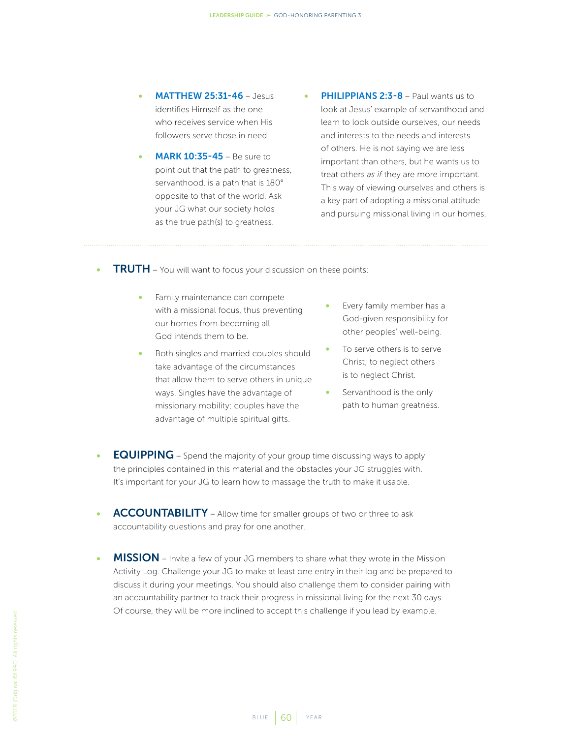- **MATTHEW 25:31-46 Jesus** identifies Himself as the one who receives service when His followers serve those in need.
- **MARK 10:35-45** Be sure to point out that the path to greatness, servanthood, is a path that is 180° opposite to that of the world. Ask your JG what our society holds as the true path(s) to greatness.
- **PHILIPPIANS 2:3-8 Paul wants us to** look at Jesus' example of servanthood and learn to look outside ourselves, our needs and interests to the needs and interests of others. He is not saying we are less important than others, but he wants us to treat others *as if* they are more important. This way of viewing ourselves and others is a key part of adopting a missional attitude and pursuing missional living in our homes.
- **TRUTH** You will want to focus your discussion on these points:
	- Family maintenance can compete with a missional focus, thus preventing our homes from becoming all God intends them to be.
	- Both singles and married couples should take advantage of the circumstances that allow them to serve others in unique ways. Singles have the advantage of missionary mobility; couples have the advantage of multiple spiritual gifts.
- Every family member has a God-given responsibility for other peoples' well-being.
- To serve others is to serve Christ; to neglect others is to neglect Christ.
- Servanthood is the only path to human greatness.
- EQUIPPING Spend the majority of your group time discussing ways to apply the principles contained in this material and the obstacles your JG struggles with. It's important for your JG to learn how to massage the truth to make it usable.
- ACCOUNTABILITY Allow time for smaller groups of two or three to ask accountability questions and pray for one another.
- MISSION Invite a few of your JG members to share what they wrote in the Mission Activity Log. Challenge your JG to make at least one entry in their log and be prepared to discuss it during your meetings. You should also challenge them to consider pairing with an accountability partner to track their progress in missional living for the next 30 days. Of course, they will be more inclined to accept this challenge if you lead by example.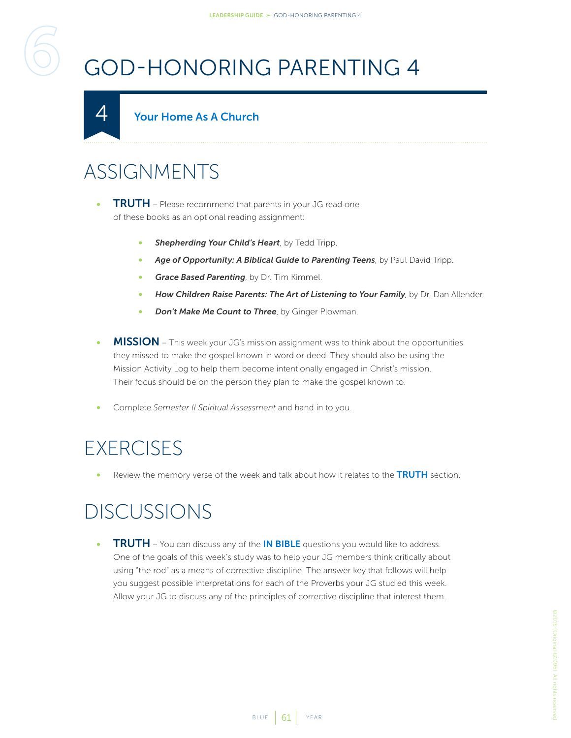# <span id="page-60-1"></span>GOD-HONORING PARENTING 4

#### Your Home As A Church

#### ASSIGNMENTS

<span id="page-60-0"></span>4

- **TRUTH** Please recommend that parents in your JG read one of these books as an optional reading assignment:
	- *Shepherding Your Child's Heart*, by Tedd Tripp.
	- *Age of Opportunity: A Biblical Guide to Parenting Teens*, by Paul David Tripp.
	- *Grace Based Parenting*, by Dr. Tim Kimmel.
	- *How Children Raise Parents: The Art of Listening to Your Family*, by Dr. Dan Allender.
	- *Don't Make Me Count to Three*, by Ginger Plowman.
- **MISSION** This week your JG's mission assignment was to think about the opportunities they missed to make the gospel known in word or deed. They should also be using the Mission Activity Log to help them become intentionally engaged in Christ's mission. Their focus should be on the person they plan to make the gospel known to.
- Complete *Semester II Spiritual Assessment* and hand in to you.

#### **EXERCISES**

Review the memory verse of the week and talk about how it relates to the TRUTH section.

#### DISCUSSIONS

**TRUTH** – You can discuss any of the **IN BIBLE** questions you would like to address. One of the goals of this week's study was to help your JG members think critically about using "the rod" as a means of corrective discipline. The answer key that follows will help you suggest possible interpretations for each of the Proverbs your JG studied this week. Allow your JG to discuss any of the principles of corrective discipline that interest them.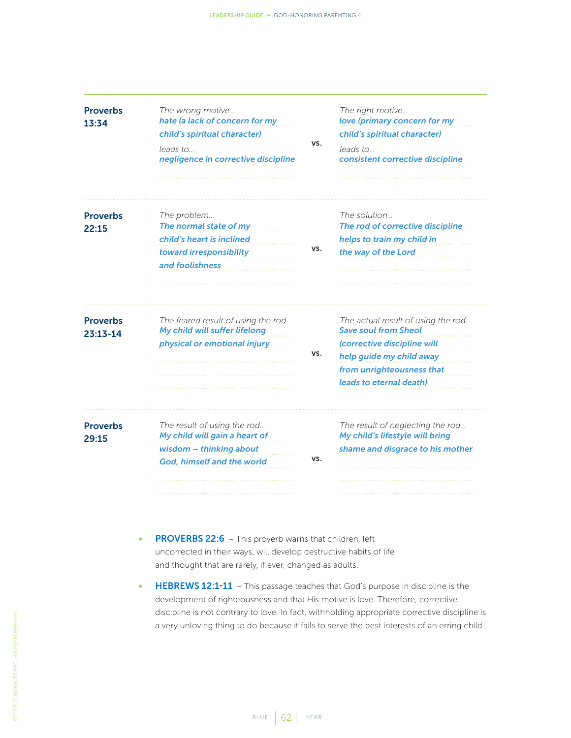| <b>Proverbs</b><br>13:34        | The wrong motive<br>hate (a lack of concern for my<br>child's spiritual character)<br>leads to<br>negligence in corrective discipline | VS. | The right motive<br>love (primary concern for my<br>child's spiritual character)<br>leads to<br>consistent corrective discipline                                                     |
|---------------------------------|---------------------------------------------------------------------------------------------------------------------------------------|-----|--------------------------------------------------------------------------------------------------------------------------------------------------------------------------------------|
| <b>Proverbs</b><br>22:15        | The problem<br>The normal state of my<br>child's heart is inclined<br>toward irresponsibility<br>and foolishness                      | VS. | The solution<br>The rod of corrective discipline<br>helps to train my child in<br>the way of the Lord                                                                                |
| <b>Proverbs</b><br>$23:13 - 14$ | The feared result of using the rod<br>My child will suffer lifelong<br>physical or emotional injury                                   | VS. | The actual result of using the rod<br><b>Save soul from Sheol</b><br>(corrective discipline will<br>help guide my child away<br>from unrighteousness that<br>leads to eternal death) |
| <b>Proverbs</b><br>29:15        | The result of using the rod<br>My child will gain a heart of<br>wisdom - thinking about<br>God, himself and the world                 | VS. | The result of neglecting the rod<br>My child's lifestyle will bring<br>shame and disgrace to his mother                                                                              |

- PROVERBS 22:6 This proverb warns that children, left uncorrected in their ways, will develop destructive habits of life and thought that are rarely, if ever, changed as adults.
- HEBREWS 12:1-11 This passage teaches that God's purpose in discipline is the development of righteousness and that His motive is love. Therefore, corrective discipline is not contrary to love. In fact, withholding appropriate corrective discipline is a very unloving thing to do because it fails to serve the best interests of an erring child.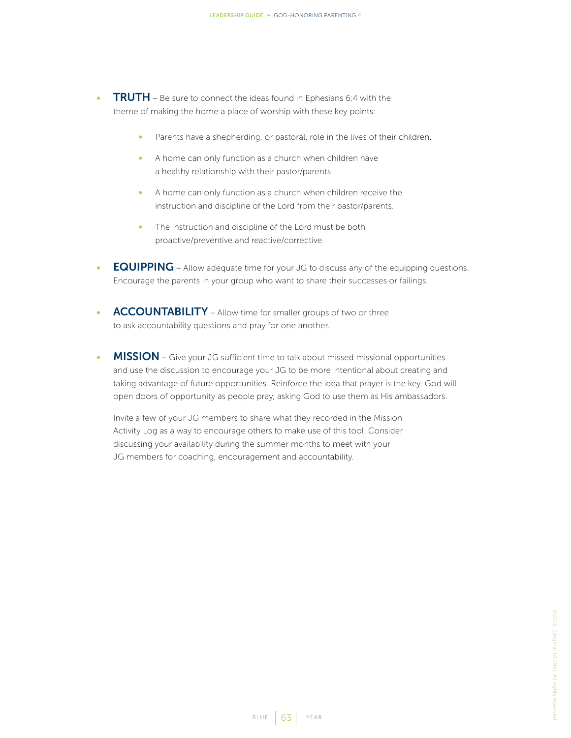- TRUTH Be sure to connect the ideas found in Ephesians 6:4 with the theme of making the home a place of worship with these key points:
	- Parents have a shepherding, or pastoral, role in the lives of their children.
	- A home can only function as a church when children have a healthy relationship with their pastor/parents.
	- A home can only function as a church when children receive the instruction and discipline of the Lord from their pastor/parents.
	- The instruction and discipline of the Lord must be both proactive/preventive and reactive/corrective.
- **EQUIPPING** Allow adequate time for your JG to discuss any of the equipping questions. Encourage the parents in your group who want to share their successes or failings.
- ACCOUNTABILITY Allow time for smaller groups of two or three to ask accountability questions and pray for one another.
- MISSION Give your JG sufficient time to talk about missed missional opportunities and use the discussion to encourage your JG to be more intentional about creating and taking advantage of future opportunities. Reinforce the idea that prayer is the key. God will open doors of opportunity as people pray, asking God to use them as His ambassadors.

Invite a few of your JG members to share what they recorded in the Mission Activity Log as a way to encourage others to make use of this tool. Consider discussing your availability during the summer months to meet with your JG members for coaching, encouragement and accountability.